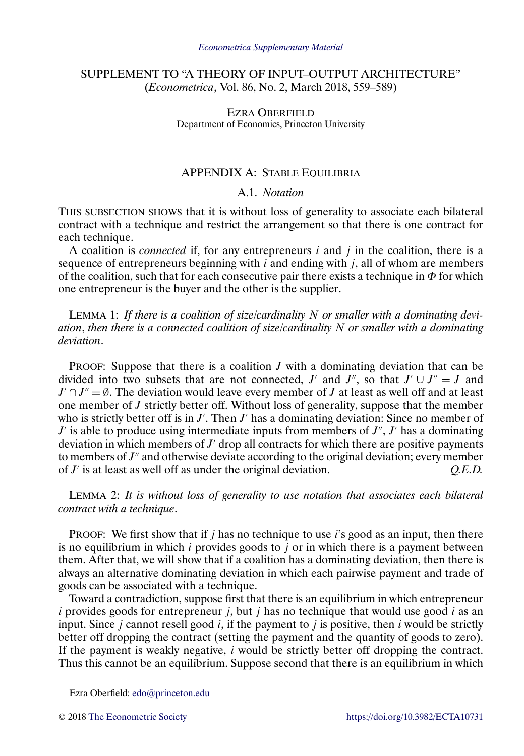# SUPPLEMENT TO "A THEORY OF INPUT–OUTPUT ARCHITECTURE" (*Econometrica*, Vol. 86, No. 2, March 2018, 559–589)

## EZRA OBERFIELD Department of Economics, Princeton University

# APPENDIX A: STABLE EQUILIBRIA

# A.1. *Notation*

THIS SUBSECTION SHOWS that it is without loss of generality to associate each bilateral contract with a technique and restrict the arrangement so that there is one contract for each technique.

A coalition is *connected* if, for any entrepreneurs i and j in the coalition, there is a sequence of entrepreneurs beginning with  $i$  and ending with  $j$ , all of whom are members of the coalition, such that for each consecutive pair there exists a technique in  $\Phi$  for which one entrepreneur is the buyer and the other is the supplier.

LEMMA 1: *If there is a coalition of size/cardinality* N *or smaller with a dominating deviation*, *then there is a connected coalition of size/cardinality* N *or smaller with a dominating deviation*.

**PROOF:** Suppose that there is a coalition  $J$  with a dominating deviation that can be divided into two subsets that are not connected, J' and J'', so that  $J' \cup J'' = J$  and  $J' \cap J'' = \emptyset$ . The deviation would leave every member of J at least as well off and at least one member of J strictly better off. Without loss of generality, suppose that the member who is strictly better off is in  $J'$ . Then  $J'$  has a dominating deviation: Since no member of  $J'$  is able to produce using intermediate inputs from members of  $J''$ ,  $J'$  has a dominating deviation in which members of J' drop all contracts for which there are positive payments to members of  $J''$  and otherwise deviate according to the original deviation; every member of *J'* is at least as well off as under the original deviation.  $Q.E.D.$ 

LEMMA 2: *It is without loss of generality to use notation that associates each bilateral contract with a technique*.

PROOF: We first show that if  $j$  has no technique to use  $i$ 's good as an input, then there is no equilibrium in which i provides goods to  $\overline{j}$  or in which there is a payment between them. After that, we will show that if a coalition has a dominating deviation, then there is always an alternative dominating deviation in which each pairwise payment and trade of goods can be associated with a technique.

Toward a contradiction, suppose first that there is an equilibrium in which entrepreneur i provides goods for entrepreneur j, but j has no technique that would use good i as an input. Since  $j$  cannot resell good  $i$ , if the payment to  $j$  is positive, then  $i$  would be strictly better off dropping the contract (setting the payment and the quantity of goods to zero). If the payment is weakly negative,  $i$  would be strictly better off dropping the contract. Thus this cannot be an equilibrium. Suppose second that there is an equilibrium in which

Ezra Oberfield: [edo@princeton.edu](mailto:edo@princeton.edu)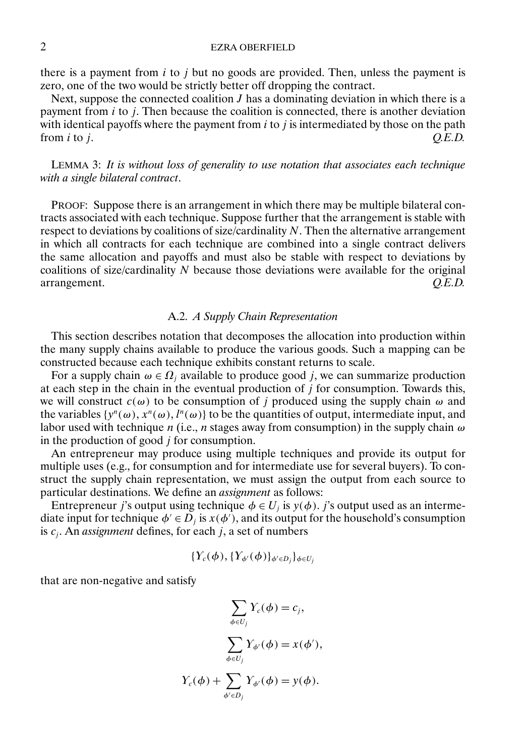there is a payment from  $i$  to  $j$  but no goods are provided. Then, unless the payment is zero, one of the two would be strictly better off dropping the contract.

Next, suppose the connected coalition  $J$  has a dominating deviation in which there is a payment from  $i$  to  $j$ . Then because the coalition is connected, there is another deviation with identical payoffs where the payment from  $i$  to  $j$  is intermediated by those on the path from *i* to *j*.  $Q.E.D.$ 

LEMMA 3: *It is without loss of generality to use notation that associates each technique with a single bilateral contract*.

PROOF: Suppose there is an arrangement in which there may be multiple bilateral contracts associated with each technique. Suppose further that the arrangement is stable with respect to deviations by coalitions of size/cardinality N. Then the alternative arrangement in which all contracts for each technique are combined into a single contract delivers the same allocation and payoffs and must also be stable with respect to deviations by coalitions of size/cardinality  $N$  because those deviations were available for the original arrangement. *Q.E.D.*

# A.2. *A Supply Chain Representation*

This section describes notation that decomposes the allocation into production within the many supply chains available to produce the various goods. Such a mapping can be constructed because each technique exhibits constant returns to scale.

For a supply chain  $\omega \in \Omega_i$  available to produce good *j*, we can summarize production at each step in the chain in the eventual production of  $\ddot{j}$  for consumption. Towards this, we will construct  $c(\omega)$  to be consumption of j produced using the supply chain  $\omega$  and the variables  $\{y^n(\omega), x^n(\omega), l^n(\omega)\}\$  to be the quantities of output, intermediate input, and labor used with technique n (i.e., n stages away from consumption) in the supply chain  $\omega$ in the production of good  $j$  for consumption.

An entrepreneur may produce using multiple techniques and provide its output for multiple uses (e.g., for consumption and for intermediate use for several buyers). To construct the supply chain representation, we must assign the output from each source to particular destinations. We define an *assignment* as follows:

Entrepreneur j's output using technique  $\phi \in U_i$  is  $y(\phi)$ . j's output used as an intermediate input for technique  $\phi' \in D_j$  is  $x(\phi')$ , and its output for the household's consumption is  $c_i$ . An *assignment* defines, for each  $j$ , a set of numbers

$$
\{Y_c(\phi), \{Y_{\phi'}(\phi)\}_{\phi'\in D_j}\}_{\phi\in U_j}
$$

that are non-negative and satisfy

$$
\sum_{\phi \in U_j} Y_c(\phi) = c_j,
$$
  

$$
\sum_{\phi \in U_j} Y_{\phi'}(\phi) = x(\phi'),
$$
  

$$
Y_c(\phi) + \sum_{\phi' \in D_j} Y_{\phi'}(\phi) = y(\phi).
$$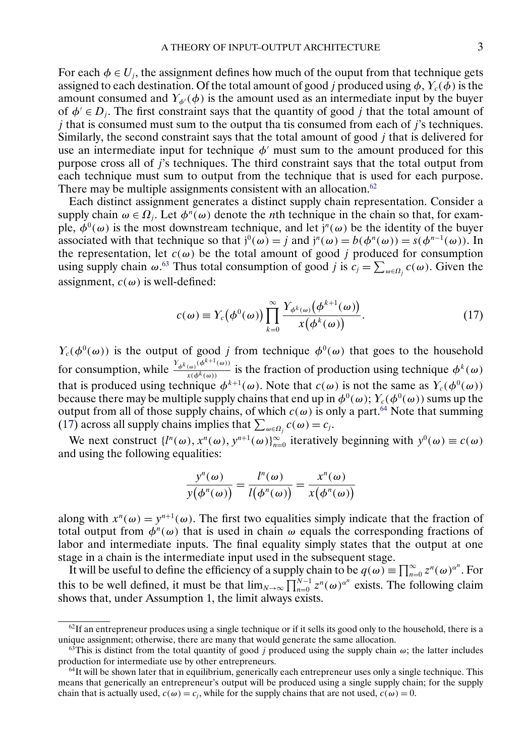For each  $\phi \in U_j$ , the assignment defines how much of the ouput from that technique gets assigned to each destination. Of the total amount of good j produced using  $\phi$ ,  $Y_c(\phi)$  is the amount consumed and  $Y_{\phi}(\phi)$  is the amount used as an intermediate input by the buyer of  $\phi' \in D_j$ . The first constraint says that the quantity of good j that the total amount of *j* that is consumed must sum to the output tha tis consumed from each of  $j$ 's techniques. Similarly, the second constraint says that the total amount of good  $j$  that is delivered for use an intermediate input for technique  $\phi'$  must sum to the amount produced for this purpose cross all of j's techniques. The third constraint says that the total output from each technique must sum to output from the technique that is used for each purpose.

There may be multiple assignments consistent with an allocation. $62$ Each distinct assignment generates a distinct supply chain representation. Consider a supply chain  $\omega \in \Omega_i$ . Let  $\phi^n(\omega)$  denote the *n*th technique in the chain so that, for example,  $\phi^0(\omega)$  is the most downstream technique, and let  $j^n(\omega)$  be the identity of the buyer associated with that technique so that  $j^0(\omega) = j$  and  $j^n(\omega) = b(\phi^n(\omega)) = s(\phi^{n-1}(\omega))$ . In the representation, let  $c(\omega)$  be the total amount of good j produced for consumption using supply chain  $\omega$ .<sup>63</sup> Thus total consumption of good *j* is  $c_j = \sum_{\omega \in \Omega_j} c(\omega)$ . Given the assignment,  $c(\omega)$  is well-defined:

$$
c(\omega) \equiv Y_c(\phi^0(\omega)) \prod_{k=0}^{\infty} \frac{Y_{\phi^k(\omega)}(\phi^{k+1}(\omega))}{x(\phi^k(\omega))}.
$$
 (17)

 $Y_c(\phi^0(\omega))$  is the output of good j from technique  $\phi^0(\omega)$  that goes to the household for consumption, while  $\frac{Y_{\phi^k(\omega)}(\phi^{k+1}(\omega))}{x(\phi^k(\omega))}$  is the fraction of production using technique  $\phi^k(\omega)$ that is produced using technique  $\phi^{k+1}(\omega)$ . Note that  $c(\omega)$  is not the same as  $Y_c(\phi^0(\omega))$ because there may be multiple supply chains that end up in  $\phi^0(\omega)$ ;  $Y_c(\phi^0(\omega))$  sums up the output from all of those supply chains, of which  $c(\omega)$  is only a part.<sup>64</sup> Note that summing (17) across all supply chains implies that  $\sum_{\omega \in \Omega_j} c(\omega) = c_j$ .

We next construct  $\{l^n(\omega), x^n(\omega), y^{n+1}(\omega)\}_{n=0}^{\infty}$  iteratively beginning with  $y^0(\omega) \equiv c(\omega)$ and using the following equalities:

$$
\frac{y^n(\omega)}{y(\phi^n(\omega))} = \frac{l^n(\omega)}{l(\phi^n(\omega))} = \frac{x^n(\omega)}{x(\phi^n(\omega))}
$$

along with  $x^n(\omega) = y^{n+1}(\omega)$ . The first two equalities simply indicate that the fraction of total output from  $\phi^{n}(\omega)$  that is used in chain  $\omega$  equals the corresponding fractions of labor and intermediate inputs. The final equality simply states that the output at one stage in a chain is the intermediate input used in the subsequent stage.

It will be useful to define the efficiency of a supply chain to be  $q(\omega) \equiv \prod_{n=0}^{\infty} z^n(\omega)^{\alpha^n}$ . For this to be well defined, it must be that  $\lim_{N\to\infty} \prod_{n=0}^{N-1} z^n(\omega)^{\alpha^n}$  exists. The following claim shows that, under Assumption 1, the limit always exists.

 $62$ If an entrepreneur produces using a single technique or if it sells its good only to the household, there is a unique assignment; otherwise, there are many that would generate the same allocation.

<sup>&</sup>lt;sup>63</sup>This is distinct from the total quantity of good j produced using the supply chain  $\omega$ ; the latter includes production for intermediate use by other entrepreneurs.

 $64$ It will be shown later that in equilibrium, generically each entrepreneur uses only a single technique. This means that generically an entrepreneur's output will be produced using a single supply chain; for the supply chain that is actually used,  $c(\omega) = c_i$ , while for the supply chains that are not used,  $c(\omega) = 0$ .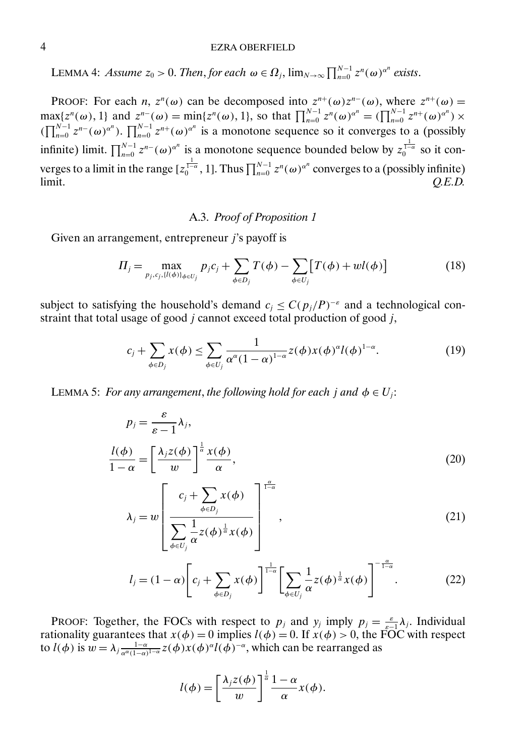<span id="page-3-0"></span>LEMMA 4: *Assume*  $z_0 > 0$ . *Then, for each*  $\omega \in \Omega_j$ ,  $\lim_{N \to \infty} \prod_{n=0}^{N-1} z^n(\omega)^{\alpha^n}$  exists.

PROOF: For each *n*,  $z^n(\omega)$  can be decomposed into  $z^{n+}(\omega)z^{n-}(\omega)$ , where  $z^{n+}(\omega) =$ max{ $z^n(\omega)$ , 1} and  $z^{n-1}(\omega) = \min\{z^n(\omega), 1\}$ , so that  $\prod_{n=0}^{N-1} z^n(\omega)^{\alpha^n} = (\prod_{n=0}^{N-1} z^{n+1}(\omega)^{\alpha^n}) \times$  $(\prod_{n=0}^{N-1} z^{n-1}(\omega)^{\alpha^n})$ .  $\prod_{n=0}^{N-1} z^{n+1}(\omega)^{\alpha^n}$  is a monotone sequence so it converges to a (possibly infinite) limit.  $\prod_{n=0}^{N-1} z^{n-1}(\omega)^{\alpha^n}$  is a monotone sequence bounded below by  $z_0^{\frac{1}{1-\alpha}}$  so it converges to a limit in the range  $[z_0^{\frac{1}{1-\alpha}}, 1]$ . Thus  $\prod_{n=0}^{N-1} z^n(\omega)^{\alpha^n}$  converges to a (possibly infinite) limit. *Q.E.D.*

# A.3. *Proof of Proposition 1*

Given an arrangement, entrepreneur  $j$ 's payoff is

$$
\Pi_j = \max_{p_j, c_j, \{l(\phi)\}_{\phi \in U_j}} p_j c_j + \sum_{\phi \in D_j} T(\phi) - \sum_{\phi \in U_j} [T(\phi) + \omega l(\phi)] \tag{18}
$$

subject to satisfying the household's demand  $c_j \leq C(p_j/P)^{-\varepsilon}$  and a technological constraint that total usage of good j cannot exceed total production of good j,

$$
c_j + \sum_{\phi \in D_j} x(\phi) \le \sum_{\phi \in U_j} \frac{1}{\alpha^{\alpha} (1-\alpha)^{1-\alpha}} z(\phi) x(\phi)^{\alpha} l(\phi)^{1-\alpha}.
$$
 (19)

LEMMA 5: *For any arrangement, the following hold for each j and*  $\phi \in U_i$ :

$$
p_j = \frac{\varepsilon}{\varepsilon - 1} \lambda_j,
$$
  

$$
\frac{l(\phi)}{1 - \alpha} = \left[ \frac{\lambda_j z(\phi)}{w} \right]^{\frac{1}{\alpha}} \frac{x(\phi)}{\alpha},
$$
 (20)

$$
\lambda_j = w \left[ \frac{c_j + \sum_{\phi \in D_j} x(\phi)}{\sum_{\phi \in U_j} \frac{1}{\alpha} z(\phi)^{\frac{1}{\alpha}} x(\phi)} \right]^{\frac{1}{1-\alpha}},
$$
\n(21)

$$
l_j = (1 - \alpha) \left[ c_j + \sum_{\phi \in D_j} x(\phi) \right]^{\frac{1}{1 - \alpha}} \left[ \sum_{\phi \in U_j} \frac{1}{\alpha} z(\phi)^{\frac{1}{\alpha}} x(\phi) \right]^{-\frac{\alpha}{1 - \alpha}}.
$$
 (22)

PROOF: Together, the FOCs with respect to  $p_j$  and  $y_j$  imply  $p_j = \frac{\varepsilon}{\varepsilon-1}\lambda_j$ . Individual rationality guarantees that  $x(\phi) = 0$  implies  $l(\phi) = 0$ . If  $x(\phi) > 0$ , the FOC with respect to  $l(\phi)$  is  $w = \lambda_j \frac{1-\alpha}{\alpha^{\alpha}(1-\alpha)^{1-\alpha}} z(\phi) x(\phi)^{\alpha} l(\phi)^{-\alpha}$ , which can be rearranged as

$$
l(\phi) = \left[\frac{\lambda_j z(\phi)}{w}\right]^{\frac{1}{\alpha}} \frac{1-\alpha}{\alpha} x(\phi).
$$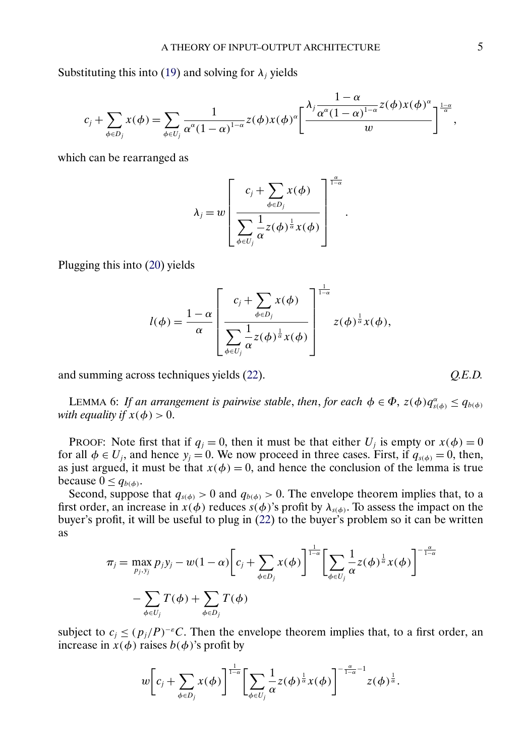<span id="page-4-0"></span>Substituting this into [\(19\)](#page-3-0) and solving for  $\lambda_i$  yields

$$
c_j + \sum_{\phi \in D_j} x(\phi) = \sum_{\phi \in U_j} \frac{1}{\alpha^{\alpha} (1-\alpha)^{1-\alpha}} z(\phi) x(\phi)^{\alpha} \left[ \frac{\lambda_j \frac{1-\alpha}{\alpha^{\alpha} (1-\alpha)^{1-\alpha}} z(\phi) x(\phi)^{\alpha}}{w} \right]^{1-\alpha \over \alpha},
$$

which can be rearranged as

$$
\lambda_j = w \left[ \frac{c_j + \sum_{\phi \in D_j} x(\phi)}{\sum_{\phi \in U_j} \frac{1}{\alpha} z(\phi)^{\frac{1}{\alpha}} x(\phi)} \right]^{\frac{\alpha}{1-\alpha}}
$$

.

Plugging this into [\(20\)](#page-3-0) yields

$$
l(\phi) = \frac{1-\alpha}{\alpha} \left[ \frac{c_j + \sum_{\phi \in D_j} x(\phi)}{\sum_{\phi \in U_j} \frac{1}{\alpha} z(\phi)^{\frac{1}{\alpha}} x(\phi)} \right]^{\frac{1}{1-\alpha}} z(\phi)^{\frac{1}{\alpha}} x(\phi),
$$

and summing across techniques yields [\(22\)](#page-3-0). *Q.E.D.*

LEMMA 6: If an arrangement is pairwise stable, then, for each  $\phi \in \Phi$ ,  $z(\phi)q_{s(\phi)}^{\alpha} \leq q_{b(\phi)}$ *with equality if*  $x(\phi) > 0$ .

PROOF: Note first that if  $q_j = 0$ , then it must be that either  $U_j$  is empty or  $x(\phi) = 0$ for all  $\phi \in U_j$ , and hence  $y_j = 0$ . We now proceed in three cases. First, if  $q_{s(\phi)} = 0$ , then, as just argued, it must be that  $x(\phi) = 0$ , and hence the conclusion of the lemma is true because  $0 \leq q_{b(\phi)}$ .

Second, suppose that  $q_{s(\phi)} > 0$  and  $q_{b(\phi)} > 0$ . The envelope theorem implies that, to a first order, an increase in  $x(\phi)$  reduces  $s(\phi)$ 's profit by  $\lambda_{s(\phi)}$ . To assess the impact on the buyer's profit, it will be useful to plug in [\(22\)](#page-3-0) to the buyer's problem so it can be written as

$$
\pi_j = \max_{p_j, y_j} p_j y_j - w(1 - \alpha) \left[ c_j + \sum_{\phi \in D_j} x(\phi) \right]^{\frac{1}{1 - \alpha}} \left[ \sum_{\phi \in U_j} \frac{1}{\alpha} z(\phi)^{\frac{1}{\alpha}} x(\phi) \right]^{-\frac{\alpha}{1 - \alpha}}
$$

$$
- \sum_{\phi \in U_j} T(\phi) + \sum_{\phi \in D_j} T(\phi)
$$

subject to  $c_i \leq (p_i/P)^{-\epsilon}C$ . Then the envelope theorem implies that, to a first order, an increase in  $x(\phi)$  raises  $b(\phi)$ 's profit by

$$
w\bigg[c_j+\sum_{\phi\in D_j}x(\phi)\bigg]^\frac{1}{1-\alpha}\bigg[\sum_{\phi\in U_j}\frac{1}{\alpha}z(\phi)^\frac{1}{\alpha}x(\phi)\bigg]^{-\frac{\alpha}{1-\alpha}-1}z(\phi)^\frac{1}{\alpha}.
$$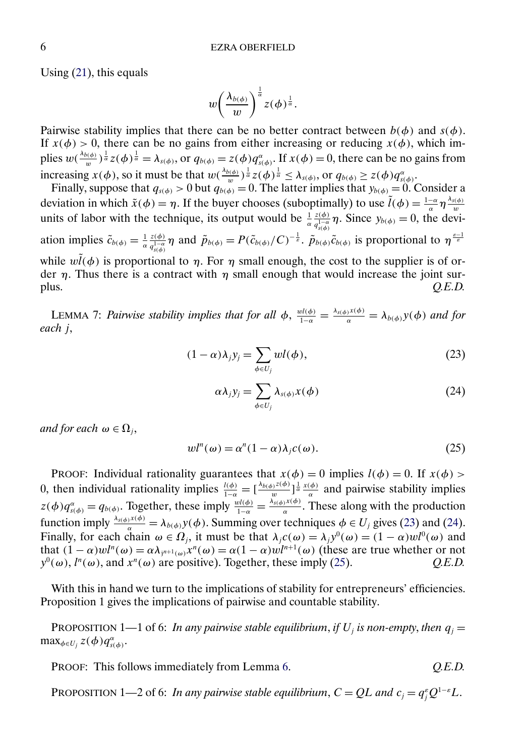<span id="page-5-0"></span>Using [\(21\)](#page-3-0), this equals

$$
w\bigg(\frac{\lambda_{b(\phi)}}{w}\bigg)^{\frac{1}{\alpha}}z(\phi)^{\frac{1}{\alpha}}.
$$

Pairwise stability implies that there can be no better contract between  $b(\phi)$  and  $s(\phi)$ . If  $x(\phi) > 0$ , there can be no gains from either increasing or reducing  $x(\phi)$ , which implies  $w(\frac{\lambda_{b(\phi)}}{w})^{\frac{1}{\alpha}}z(\phi)^{\frac{1}{\alpha}} = \lambda_{s(\phi)},$  or  $q_{b(\phi)} = z(\phi)q_{s(\phi)}^{\alpha}$ . If  $x(\phi) = 0$ , there can be no gains from increasing  $x(\phi)$ , so it must be that  $w(\frac{\lambda_{b(\phi)}}{w})^{\frac{1}{\alpha}} \leq (\phi)^{\frac{1}{\alpha}} \leq \lambda_{s(\phi)}$ , or  $q_{b(\phi)} \geq z(\phi)q_{s(\phi)}^{\alpha}$ .

Finally, suppose that  $q_{s(\phi)} > 0$  but  $q_{b(\phi)} = 0$ . The latter implies that  $y_{b(\phi)} = 0$ . Consider a deviation in which  $\tilde{x}(\phi) = \eta$ . If the buyer chooses (suboptimally) to use  $\tilde{l}(\phi) = \frac{1-\alpha}{\alpha} \eta \frac{\lambda_{s(\phi)}}{w}$  units of labor with the technique, its output would be  $\frac{1}{\alpha} \frac{z(\phi)}{\sigma_1 - \alpha} \eta$ . Since  $y_{b(\phi)} = 0$ , the d  $\frac{z(\phi)}{q_{s(\phi)}^{1-\alpha}}\eta$ . Since  $y_{b(\phi)} = 0$ , the deviation implies  $\tilde{c}_{b(\phi)} = \frac{1}{\alpha}$  $\frac{z(\phi)}{q_{s(\phi)}} \eta$  and  $\tilde{p}_{b(\phi)} = P(\tilde{c}_{b(\phi)}/C)^{-\frac{1}{\varepsilon}}$ .  $\tilde{p}_{b(\phi)} \tilde{c}_{b(\phi)}$  is proportional to  $\eta^{\frac{\varepsilon-1}{\varepsilon}}$ while  $w\tilde{l}(\phi)$  is proportional to  $\eta$ . For  $\eta$  small enough, the cost to the supplier is of order  $\eta$ . Thus there is a contract with  $\eta$  small enough that would increase the joint surplus. *Q.E.D.*

LEMMA 7: *Pairwise stability implies that for all*  $\phi$ ,  $\frac{w l(\phi)}{1-\alpha} = \frac{\lambda_{s(\phi)}x(\phi)}{\alpha} = \lambda_{b(\phi)}y(\phi)$  *and for each* j,

$$
(1 - \alpha)\lambda_j y_j = \sum_{\phi \in U_j} w l(\phi), \qquad (23)
$$

$$
\alpha \lambda_j y_j = \sum_{\phi \in U_j} \lambda_{s(\phi)} x(\phi) \tag{24}
$$

*and for each*  $\omega \in \Omega_i$ ,

$$
wln(\omega) = \alphan(1 - \alpha)\lambda_j c(\omega).
$$
 (25)

PROOF: Individual rationality guarantees that  $x(\phi) = 0$  implies  $l(\phi) = 0$ . If  $x(\phi) >$ 0, then individual rationality implies  $\frac{l(\phi)}{1-\alpha} = \left[\frac{\lambda_{b(\phi)}z(\phi)}{w}\right]^{\frac{1}{\alpha}} \frac{x(\phi)}{\alpha}$  and pairwise stability implies  $z(\phi)q_{s(\phi)}^{\alpha} = q_{b(\phi)}$ . Together, these imply  $\frac{wl(\phi)}{1-\alpha} = \frac{\lambda_{s(\phi)}x(\phi)}{\alpha}$ . These along with the production function imply  $\frac{\lambda_{s(\phi)}x(\phi)}{\alpha} = \lambda_{b(\phi)}y(\phi)$ . Summing over techniques  $\phi \in U_j$  gives (23) and (24). Finally, for each chain  $\omega \in \Omega_j$ , it must be that  $\lambda_j c(\omega) = \lambda_j y^0(\omega) = (1 - \alpha) w l^0(\omega)$  and that  $(1 - \alpha)wl^{n}(\omega) = \alpha \lambda_{j^{n+1}(\omega)} x^{n}(\omega) = \alpha (1 - \alpha)wl^{n+1}(\omega)$  (these are true whether or not  $y^0(\omega)$ ,  $l^n(\omega)$ , and  $x^n(\omega)$  are positive). Together, these imply (25).  $Q.E.D.$ 

With this in hand we turn to the implications of stability for entrepreneurs' efficiencies. Proposition 1 gives the implications of pairwise and countable stability.

PROPOSITION 1—1 of 6: *In any pairwise stable equilibrium, if*  $U_i$  *is non-empty, then*  $q_i =$  $\max_{\phi \in U_j} z(\phi) q_{s(\phi)}^{\alpha}$ .

PROOF: This follows immediately from Lemma [6.](#page-4-0) *Q.E.D.*

PROPOSITION 1—2 of 6: *In any pairwise stable equilibrium*,  $C = QL$  and  $c_j = q_j^e Q^{1-e}L$ .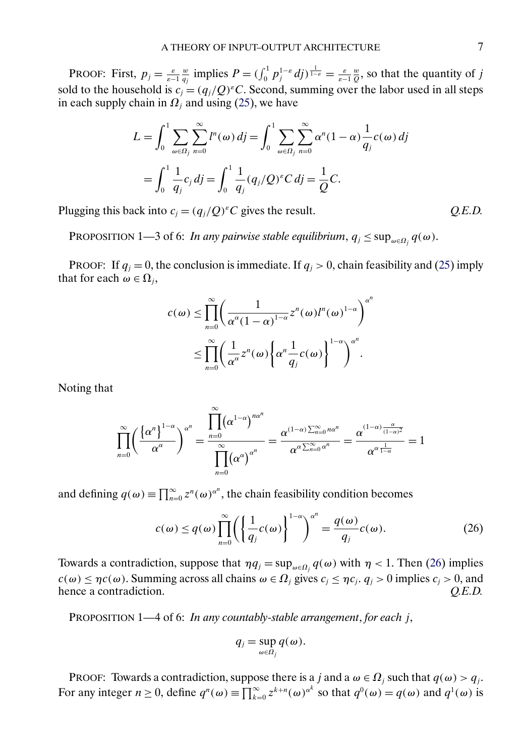PROOF: First,  $p_j = \frac{\varepsilon}{\varepsilon-1} \frac{w}{q_j}$  implies  $P = (\int_0^1 p_j^{1-\varepsilon} dp)^{\frac{1}{1-\varepsilon}} = \frac{\varepsilon}{\varepsilon-1} \frac{w}{Q}$ , so that the quantity of j sold to the household is  $c_j = (q_j/Q)^{\epsilon}C$ . Second, summing over the labor used in all steps in each supply chain in  $\Omega_i$  and using [\(25\)](#page-5-0), we have

$$
L = \int_0^1 \sum_{\omega \in \Omega_j} \sum_{n=0}^{\infty} l^n(\omega) \, dj = \int_0^1 \sum_{\omega \in \Omega_j} \sum_{n=0}^{\infty} \alpha^n (1 - \alpha) \frac{1}{q_j} c(\omega) \, dj
$$
  
= 
$$
\int_0^1 \frac{1}{q_j} c_j \, dj = \int_0^1 \frac{1}{q_j} (q_j/Q)^{\varepsilon} C \, dj = \frac{1}{Q} C.
$$

Plugging this back into  $c_i = (q_i/Q)^{\epsilon}C$  gives the result. *Q.E.D.* 

PROPOSITION 1—3 of 6: *In any pairwise stable equilibrium*,  $q_j \leq \sup_{\omega \in \Omega_j} q(\omega)$ .

PROOF: If  $q_j = 0$ , the conclusion is immediate. If  $q_j > 0$ , chain feasibility and [\(25\)](#page-5-0) imply that for each  $\omega \in \Omega_i$ ,

$$
c(\omega) \leq \prod_{n=0}^{\infty} \left( \frac{1}{\alpha^{\alpha} (1-\alpha)^{1-\alpha}} z^n(\omega) l^n(\omega)^{1-\alpha} \right)^{\alpha^n}
$$
  

$$
\leq \prod_{n=0}^{\infty} \left( \frac{1}{\alpha^{\alpha}} z^n(\omega) \left\{ \alpha^n \frac{1}{q_j} c(\omega) \right\}^{1-\alpha} \right)^{\alpha^n}.
$$

Noting that

$$
\prod_{n=0}^{\infty} \left(\frac{\{\alpha^n\}^{1-\alpha}}{\alpha^{\alpha}}\right)^{\alpha^n} = \frac{\prod_{n=0}^{\infty} (\alpha^{1-\alpha})^{n\alpha^n}}{\prod_{n=0}^{\infty} (\alpha^{\alpha})^{\alpha^n}} = \frac{\alpha^{(1-\alpha)\sum_{n=0}^{\infty} n\alpha^n}}{\alpha^{\alpha \sum_{n=0}^{\infty} \alpha^n}} = \frac{\alpha^{(1-\alpha)\frac{\alpha}{(1-\alpha)^2}}}{\alpha^{\alpha \frac{1}{1-\alpha}}} = 1
$$

and defining  $q(\omega) \equiv \prod_{n=0}^{\infty} z^n(\omega)^{\alpha^n}$ , the chain feasibility condition becomes

$$
c(\omega) \le q(\omega) \prod_{n=0}^{\infty} \left( \left\{ \frac{1}{q_j} c(\omega) \right\}^{1-\alpha} \right)^{\alpha^n} = \frac{q(\omega)}{q_j} c(\omega). \tag{26}
$$

Towards a contradiction, suppose that  $\eta q_j = \sup_{\omega \in \Omega_j} q(\omega)$  with  $\eta < 1$ . Then (26) implies  $c(\omega) \leq \eta c(\omega)$ . Summing across all chains  $\omega \in \Omega_j$  gives  $c_j \leq \eta c_j$ .  $q_j > 0$  implies  $c_j > 0$ , and hence a contradiction. *Q.E.D.*

PROPOSITION 1—4 of 6: *In any countably-stable arrangement*, *for each* j,

$$
q_j = \sup_{\omega \in \Omega_j} q(\omega).
$$

PROOF: Towards a contradiction, suppose there is a j and a  $\omega \in \Omega_j$  such that  $q(\omega) > q_j$ . For any integer  $n \ge 0$ , define  $q^n(\omega) \equiv \prod_{k=0}^{\infty} z^{k+n}(\omega)^{\alpha^k}$  so that  $q^0(\omega) = q(\omega)$  and  $q^1(\omega)$  is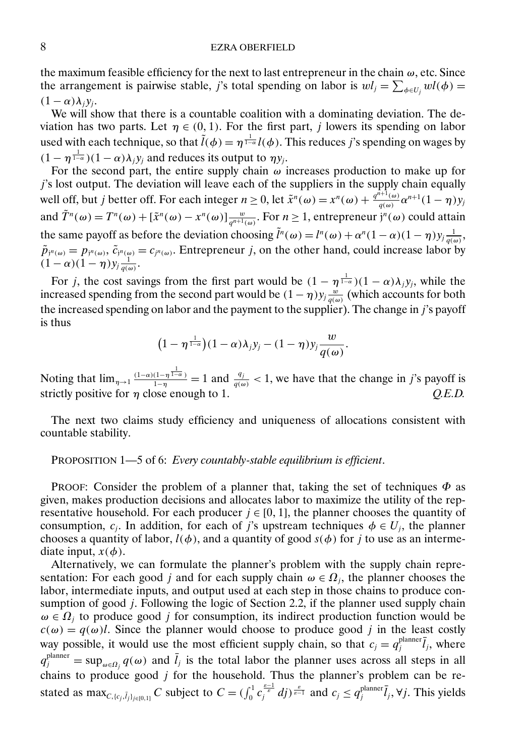the maximum feasible efficiency for the next to last entrepreneur in the chain  $\omega$ , etc. Since the arrangement is pairwise stable, j's total spending on labor is  $wl_j = \sum_{\phi \in U_j}wl(\phi) =$  $(1 - \alpha)\lambda_i y_i$ .

We will show that there is a countable coalition with a dominating deviation. The deviation has two parts. Let  $\eta \in (0, 1)$ . For the first part, j lowers its spending on labor used with each technique, so that  $\tilde{l}(\phi) = \eta^{\frac{1}{1-\alpha}} l(\phi)$ . This reduces j's spending on wages by  $(1 - \eta^{\frac{1}{1 - \alpha}})(1 - \alpha)\lambda_j y_j$  and reduces its output to  $\eta y_j$ .

For the second part, the entire supply chain  $\omega$  increases production to make up for j's lost output. The deviation will leave each of the suppliers in the supply chain equally well off, but j better off. For each integer  $n \ge 0$ , let  $\tilde{x}^n(\omega) = x^n(\omega) + \frac{q^{n+1}(\omega)}{q(\omega)} \alpha^{n+1}(1-\eta)y_j$ and  $\tilde{T}^n(\omega) = T^n(\omega) + [\tilde{x}^n(\omega) - x^n(\omega)]_{\frac{w}{q^{n+1}(\omega)}}$ . For  $n \ge 1$ , entrepreneur j<sup>n</sup>( $\omega$ ) could attain the same payoff as before the deviation choosing  $\tilde{l}^n(\omega) = l^n(\omega) + \alpha^n(1-\alpha)(1-\eta)y_j \frac{1}{q(\omega)},$  $\tilde{p}_{j^n(\omega)} = p_{j^n(\omega)}, \tilde{c}_{j^n(\omega)} = c_{j^n(\omega)}$ . Entrepreneur j, on the other hand, could increase labor by  $(1-\alpha)(1-\eta)y_j\frac{1}{q(\omega)}$ .

For j, the cost savings from the first part would be  $(1 - \eta^{\frac{1}{1 - \alpha}})(1 - \alpha)\lambda_j y_j$ , while the increased spending from the second part would be  $(1 - \eta)y_j \frac{w}{q(\omega)}$  (which accounts for both the increased spending on labor and the payment to the supplier). The change in j's payoff is thus

$$
(1-\eta^{\frac{1}{1-\alpha}})(1-\alpha)\lambda_jy_j-(1-\eta)y_j\frac{w}{q(\omega)}.
$$

Noting that  $\lim_{\eta \to 1} \frac{(1-\alpha)(1-\eta^{\frac{1}{1-\alpha}})}{1-\eta} = 1$  and  $\frac{q_j}{q(\omega)} < 1$ , we have that the change in j's payoff is strictly positive for  $\eta$  close enough to 1.  $Q.E.D.$ 

The next two claims study efficiency and uniqueness of allocations consistent with countable stability.

PROPOSITION 1—5 of 6: *Every countably-stable equilibrium is efficient*.

PROOF: Consider the problem of a planner that, taking the set of techniques  $\Phi$  as given, makes production decisions and allocates labor to maximize the utility of the representative household. For each producer  $j \in [0, 1]$ , the planner chooses the quantity of consumption,  $c_j$ . In addition, for each of j's upstream techniques  $\phi \in U_j$ , the planner chooses a quantity of labor,  $l(\phi)$ , and a quantity of good  $s(\phi)$  for j to use as an intermediate input,  $x(\phi)$ .

Alternatively, we can formulate the planner's problem with the supply chain representation: For each good j and for each supply chain  $\omega \in \Omega_i$ , the planner chooses the labor, intermediate inputs, and output used at each step in those chains to produce consumption of good *j*. Following the logic of Section 2.2, if the planner used supply chain  $\omega \in \Omega_i$  to produce good j for consumption, its indirect production function would be  $c(\omega) = q(\omega)l$ . Since the planner would choose to produce good j in the least costly way possible, it would use the most efficient supply chain, so that  $c_j = q_j^{\text{planet}}\overline{l}_j$ , where  $q_j^{\text{planner}} = \sup_{\omega \in \Omega_j} q(\omega)$  and  $\overline{I}_j$  is the total labor the planner uses across all steps in all chains to produce good  $j$  for the household. Thus the planner's problem can be restated as max $_{C,(c_j,\bar{l}_j)_{j\in[0,1]}} C$  subject to  $C=(\int_0^1 c_j^{\frac{\varepsilon-1}{\varepsilon}} dy)^{\frac{\varepsilon}{\varepsilon-1}}$  and  $c_j \leq q_j^{\text{planer}} \bar{l}_j$ ,  $\forall j$ . This yields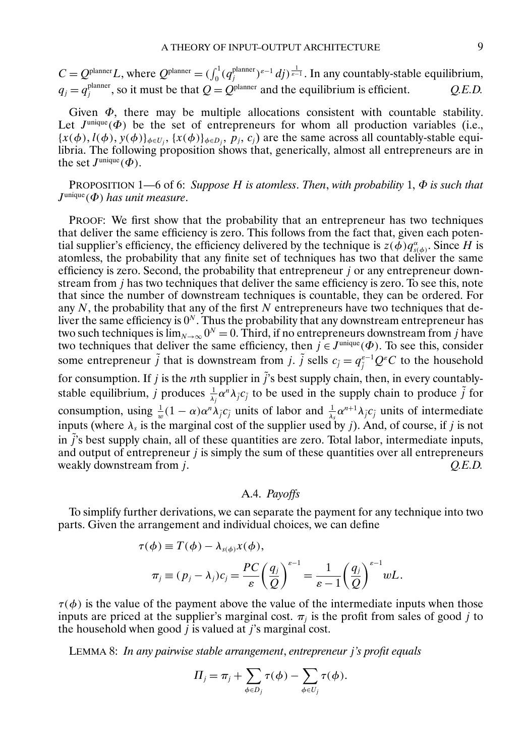$C = Q^{\text{planner}} L$ , where  $Q^{\text{planner}} = (\int_0^1 (q_j^{\text{planner}})^{\varepsilon-1} dj)^{\frac{1}{\varepsilon-1}}$ . In any countably-stable equilibrium,  $q_j = q_j^{\text{planner}}$ , so it must be that  $Q = Q^{\text{planner}}$  and the equilibrium is efficient.  $Q.E.D.$ 

Given  $\Phi$ , there may be multiple allocations consistent with countable stability. Let  $J^{\text{unique}}(\Phi)$  be the set of entrepreneurs for whom all production variables (i.e.,  ${x(\phi), l(\phi), y(\phi)}_{\phi \in U_i}$ ,  ${x(\phi)}_{\phi \in D_i}$ ,  $p_j, c_j$  are the same across all countably-stable equilibria. The following proposition shows that, generically, almost all entrepreneurs are in the set  $J^{\text{unique}}(\Phi)$ .

PROPOSITION 1—6 of 6: *Suppose* H *is atomless*. *Then*, *with probability* 1, Φ *is such that* Junique(Φ) *has unit measure*.

PROOF: We first show that the probability that an entrepreneur has two techniques that deliver the same efficiency is zero. This follows from the fact that, given each potential supplier's efficiency, the efficiency delivered by the technique is  $z(\phi)q_{s(\phi)}^{\alpha}$ . Since H is atomless, the probability that any finite set of techniques has two that deliver the same efficiency is zero. Second, the probability that entrepreneur j or any entrepreneur downstream from j has two techniques that deliver the same efficiency is zero. To see this, note that since the number of downstream techniques is countable, they can be ordered. For any  $N$ , the probability that any of the first  $N$  entrepreneurs have two techniques that deliver the same efficiency is  $0^N$ . Thus the probability that any downstream entrepreneur has two such techniques is  $\lim_{N\to\infty}0^N=0$ . Third, if no entrepreneurs downstream from j have two techniques that deliver the same efficiency, then  $j \in J^{\text{unique}}(\Phi)$ . To see this, consider some entrepreneur  $\tilde{j}$  that is downstream from j.  $\tilde{j}$  sells  $c_{\tilde{j}} = q_{\tilde{j}}^{e-1} Q^e C$  to the household for consumption. If j is the *n*th supplier in  $\tilde{j}'$ 's best supply chain, then, in every countablystable equilibrium, j produces  $\frac{1}{\lambda_j} \alpha^n \lambda_j c_j$  to be used in the supply chain to produce  $\tilde{j}$  for consumption, using  $\frac{1}{w}(1-\alpha)\alpha^n\lambda_j c_j$  units of labor and  $\frac{1}{\lambda_s}\alpha^{n+1}\lambda_j c_j$  units of intermediate inputs (where  $\lambda_s$  is the marginal cost of the supplier used by j). And, of course, if j is not in  $\tilde{j}$ 's best supply chain, all of these quantities are zero. Total labor, intermediate inputs, and output of entrepreneur  $j$  is simply the sum of these quantities over all entrepreneurs weakly downstream from *j*.  $Q.E.D.$ 

## A.4. *Payoffs*

To simplify further derivations, we can separate the payment for any technique into two parts. Given the arrangement and individual choices, we can define

$$
\tau(\phi) \equiv T(\phi) - \lambda_{s(\phi)} x(\phi),
$$
  

$$
\pi_j \equiv (p_j - \lambda_j) c_j = \frac{PC}{\varepsilon} \left(\frac{q_j}{Q}\right)^{\varepsilon - 1} = \frac{1}{\varepsilon - 1} \left(\frac{q_j}{Q}\right)^{\varepsilon - 1} wL.
$$

 $\tau(\phi)$  is the value of the payment above the value of the intermediate inputs when those inputs are priced at the supplier's marginal cost.  $\pi_i$  is the profit from sales of good j to the household when good  $j$  is valued at  $j$ 's marginal cost.

LEMMA 8: *In any pairwise stable arrangement*, *entrepreneur* j*'s profit equals*

$$
\Pi_j = \pi_j + \sum_{\phi \in D_j} \tau(\phi) - \sum_{\phi \in U_j} \tau(\phi).
$$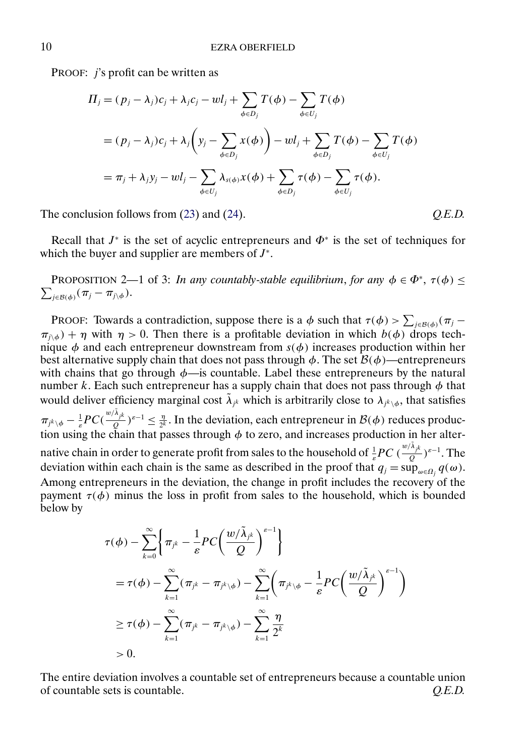PROOF: *j*'s profit can be written as

$$
\Pi_j = (p_j - \lambda_j)c_j + \lambda_jc_j - wI_j + \sum_{\phi \in D_j} T(\phi) - \sum_{\phi \in U_j} T(\phi)
$$
  
=  $(p_j - \lambda_j)c_j + \lambda_j \left(y_j - \sum_{\phi \in D_j} x(\phi)\right) - wI_j + \sum_{\phi \in D_j} T(\phi) - \sum_{\phi \in U_j} T(\phi)$   
=  $\pi_j + \lambda_j y_j - wI_j - \sum_{\phi \in U_j} \lambda_{s(\phi)} x(\phi) + \sum_{\phi \in D_j} \tau(\phi) - \sum_{\phi \in U_j} \tau(\phi).$ 

The conclusion follows from [\(23\)](#page-5-0) and [\(24\)](#page-5-0).  $Q.E.D.$ 

Recall that  $J^*$  is the set of acyclic entrepreneurs and  $\Phi^*$  is the set of techniques for which the buyer and supplier are members of  $J^*$ .

PROPOSITION 2—1 of 3: *In any countably-stable equilibrium*, *for any*  $\phi \in \Phi^*$ ,  $\tau(\phi) \le \sum_{i \in B(\phi)} (\pi_i - \pi_{i\phi}).$  $\sum_{j\in\mathcal{B}(\phi)}(\pi_j-\pi_{j\setminus\phi}).$ 

PROOF: Towards a contradiction, suppose there is a  $\phi$  such that  $\tau(\phi) > \sum_{j \in B(\phi)} (\pi_j \pi_{\hat{p},\phi}$ ) + η with  $\eta > 0$ . Then there is a profitable deviation in which  $b(\phi)$  drops technique  $\phi$  and each entrepreneur downstream from  $s(\phi)$  increases production within her best alternative supply chain that does not pass through  $\phi$ . The set  $\mathcal{B}(\phi)$ —entrepreneurs with chains that go through  $\phi$ —is countable. Label these entrepreneurs by the natural number k. Each such entrepreneur has a supply chain that does not pass through  $\phi$  that would deliver efficiency marginal cost  $\tilde{\lambda}_{jk}$  which is arbitrarily close to  $\lambda_{jk\lambda\phi}$ , that satisfies  $\pi_{jk\setminus\phi} - \frac{1}{\varepsilon}PC(\frac{w/\lambda_{jk}}{Q})^{\varepsilon-1} \leq \frac{\eta}{2^k}$ . In the deviation, each entrepreneur in  $\mathcal{B}(\phi)$  reduces production using the chain that passes through  $\phi$  to zero, and increases production in her alternative chain in order to generate profit from sales to the household of  $\frac{1}{\varepsilon}PC$  ( $\frac{w/\tilde{\lambda}_{jk}}{Q}$ ) $\varepsilon^{-1}$ . The deviation within each chain is the same as described in the proof that  $q_j = \sup_{\omega \in \Omega_j} q(\omega)$ . Among entrepreneurs in the deviation, the change in profit includes the recovery of the payment  $\tau(\phi)$  minus the loss in profit from sales to the household, which is bounded below by

$$
\tau(\phi) - \sum_{k=0}^{\infty} \left\{ \pi_{j^k} - \frac{1}{\varepsilon} PC\left(\frac{w/\tilde{\lambda}_{j^k}}{Q}\right)^{\varepsilon-1} \right\}
$$
  
=  $\tau(\phi) - \sum_{k=1}^{\infty} (\pi_{j^k} - \pi_{j^k \setminus \phi}) - \sum_{k=1}^{\infty} \left( \pi_{j^k \setminus \phi} - \frac{1}{\varepsilon} PC\left(\frac{w/\tilde{\lambda}_{j^k}}{Q}\right)^{\varepsilon-1} \right)$   
 $\geq \tau(\phi) - \sum_{k=1}^{\infty} (\pi_{j^k} - \pi_{j^k \setminus \phi}) - \sum_{k=1}^{\infty} \frac{\eta}{2^k}$   
 $> 0.$ 

The entire deviation involves a countable set of entrepreneurs because a countable union of countable sets is countable. *Q.E.D.*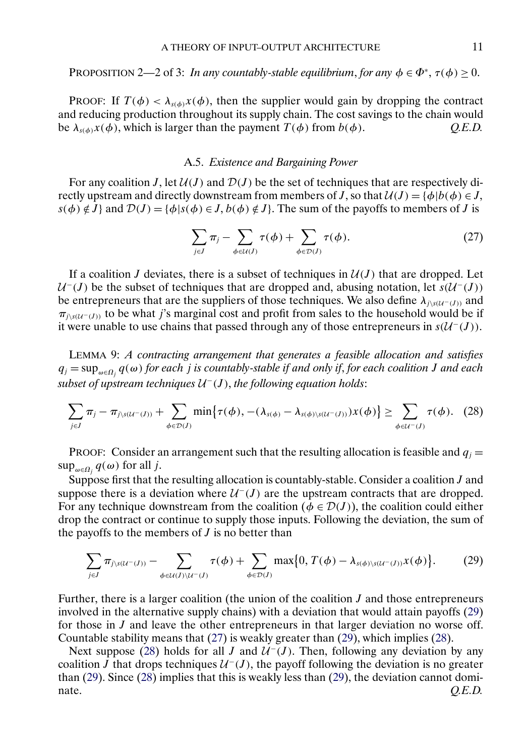<span id="page-10-0"></span>PROPOSITION 2—2 of 3: *In any countably-stable equilibrium, for any*  $\phi \in \Phi^*$ ,  $\tau(\phi) \ge 0$ .

PROOF: If  $T(\phi) < \lambda_{s(\phi)}x(\phi)$ , then the supplier would gain by dropping the contract and reducing production throughout its supply chain. The cost savings to the chain would be  $\lambda_{s(\phi)}x(\phi)$ , which is larger than the payment  $T(\phi)$  from  $b(\phi)$ . *Q.E.D.* 

## A.5. *Existence and Bargaining Power*

For any coalition J, let  $U(J)$  and  $D(J)$  be the set of techniques that are respectively directly upstream and directly downstream from members of J, so that  $U(J) = \{\phi | b(\phi) \in J,$  $s(\phi) \notin \overline{J}$  and  $\mathcal{D}(J) = {\phi | s(\phi) \in J, b(\phi) \notin J}$ . The sum of the payoffs to members of  $J$  is

$$
\sum_{j\in J}\pi_j - \sum_{\phi\in U(J)}\tau(\phi) + \sum_{\phi\in \mathcal{D}(J)}\tau(\phi). \tag{27}
$$

If a coalition J deviates, there is a subset of techniques in  $\mathcal{U}(J)$  that are dropped. Let  $U^{-}(J)$  be the subset of techniques that are dropped and, abusing notation, let  $s(U^{-}(J))$ be entrepreneurs that are the suppliers of those techniques. We also define  $\lambda_{i\setminus s(U^-(J))}$  and  $\pi_{i\delta(U-U)}$  to be what j's marginal cost and profit from sales to the household would be if it were unable to use chains that passed through any of those entrepreneurs in  $s(U<sup>-</sup>(J))$ .

LEMMA 9: *A contracting arrangement that generates a feasible allocation and satisfies*  $q_j = \sup_{\omega \in \Omega_j} q(\omega)$  *for each* j *is countably-stable if and only if, for each coalition* J *and each subset of upstream techniques*  $U$ <sup>−</sup>(*J*), *the following equation holds*:

$$
\sum_{j\in J}\pi_j-\pi_{j\setminus s(U^-(J))}+\sum_{\phi\in\mathcal{D}(J)}\min\bigl\{\tau(\phi),-(\lambda_{s(\phi)}-\lambda_{s(\phi)\setminus s(U^-(J))})x(\phi)\bigr\}\geq \sum_{\phi\in\mathcal{U}^-(J)}\tau(\phi). \quad (28)
$$

PROOF: Consider an arrangement such that the resulting allocation is feasible and  $q_i =$  $\sup_{\omega \in \Omega_i} q(\omega)$  for all j.

Suppose first that the resulting allocation is countably-stable. Consider a coalition J and suppose there is a deviation where  $U^{-}(J)$  are the upstream contracts that are dropped. For any technique downstream from the coalition ( $\phi \in \mathcal{D}(J)$ ), the coalition could either drop the contract or continue to supply those inputs. Following the deviation, the sum of the payoffs to the members of  $J$  is no better than

$$
\sum_{j\in J}\pi_{j\setminus s(U^-(J))}-\sum_{\phi\in U(J)\setminus U^-(J)}\tau(\phi)+\sum_{\phi\in \mathcal{D}(J)}\max\bigl\{0,T(\phi)-\lambda_{s(\phi)\setminus s(U^-(J))}x(\phi)\bigr\}.
$$
 (29)

Further, there is a larger coalition (the union of the coalition  $J$  and those entrepreneurs involved in the alternative supply chains) with a deviation that would attain payoffs (29) for those in  $J$  and leave the other entrepreneurs in that larger deviation no worse off. Countable stability means that (27) is weakly greater than (29), which implies (28).

Next suppose (28) holds for all J and  $U^{-}(J)$ . Then, following any deviation by any coalition J that drops techniques  $U^{-}(J)$ , the payoff following the deviation is no greater than (29). Since (28) implies that this is weakly less than (29), the deviation cannot dominate.  $Q.E.D.$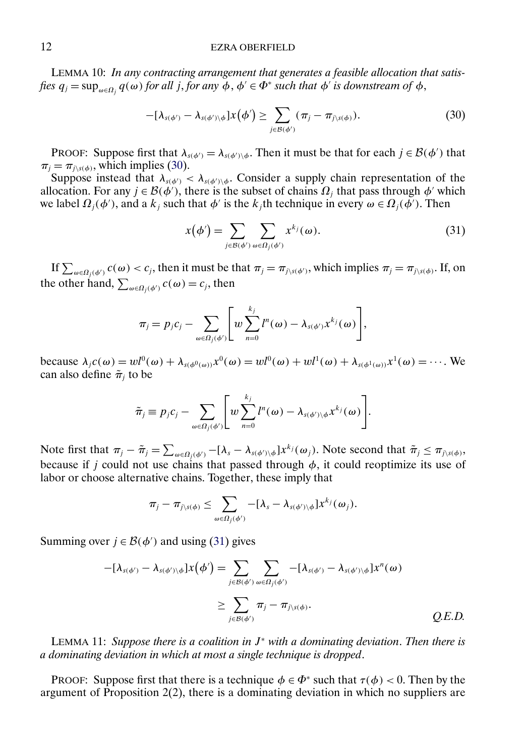<span id="page-11-0"></span>LEMMA 10: *In any contracting arrangement that generates a feasible allocation that satisfies*  $q_j = \sup_{\omega \in \Omega_j} q(\omega)$  *for all j, for any*  $\phi, \phi' \in \Phi^*$  *such that*  $\phi'$  *is downstream of*  $\phi$ *,* 

$$
-[\lambda_{s(\phi')} - \lambda_{s(\phi')\setminus\phi}]x(\phi') \geq \sum_{j\in\mathcal{B}(\phi')} (\pi_j - \pi_{j\setminus s(\phi)}).
$$
 (30)

PROOF: Suppose first that  $\lambda_{s(\phi')} = \lambda_{s(\phi')}$ . Then it must be that for each  $j \in \mathcal{B}(\phi')$  that  $\pi_i = \pi_{i\setminus s(\phi)}$ , which implies (30).

Suppose instead that  $\lambda_{s(\phi')} < \lambda_{s(\phi')\setminus\phi}$ . Consider a supply chain representation of the allocation. For any  $j \in \mathcal{B}(\phi')$ , there is the subset of chains  $\Omega_j$  that pass through  $\phi'$  which we label  $\Omega_j(\phi)$ , and a  $k_j$  such that  $\phi'$  is the  $k_j$ th technique in every  $\omega \in \Omega_j(\phi')$ . Then

$$
x(\phi') = \sum_{j \in B(\phi')} \sum_{\omega \in \Omega_j(\phi')} x^{k_j}(\omega).
$$
 (31)

If  $\sum_{\omega \in \Omega_j(\phi')} c(\omega) < c_j$ , then it must be that  $\pi_j = \pi_{j\setminus s(\phi')}$ , which implies  $\pi_j = \pi_{j\setminus s(\phi)}$ . If, on the other hand,  $\sum_{\omega \in \Omega_j(\phi')} c(\omega) = c_j$ , then

$$
\pi_j = p_j c_j - \sum_{\omega \in \Omega_j(\phi')} \left[ w \sum_{n=0}^{k_j} l^n(\omega) - \lambda_{s(\phi')} x^{k_j}(\omega) \right],
$$

because  $\lambda_j c(\omega) = w l^0(\omega) + \lambda_{s(\phi^0(\omega))} x^0(\omega) = w l^0(\omega) + w l^1(\omega) + \lambda_{s(\phi^1(\omega))} x^1(\omega) = \cdots$ . We can also define  $\tilde{\pi}_i$  to be

$$
\tilde{\pi}_j \equiv p_j c_j - \sum_{\omega \in \Omega_j(\phi')} \left[ w \sum_{n=0}^{k_j} l^n(\omega) - \lambda_{s(\phi') \setminus \phi} x^{k_j}(\omega) \right].
$$

Note first that  $\pi_j - \tilde{\pi}_j = \sum_{\omega \in \Omega_j(\phi')} -[\lambda_s - \lambda_{s(\phi')\setminus \phi}]\overline{x}^{k_j}(\omega_j)$ . Note second that  $\tilde{\pi}_j \leq \pi_{j\setminus s(\phi)},$ because if j could not use chains that passed through  $\phi$ , it could reoptimize its use of labor or choose alternative chains. Together, these imply that

$$
\pi_j-\pi_{j\setminus s(\phi)}\leq \sum_{\omega\in \Omega_j(\phi')} -[\lambda_s-\lambda_{s(\phi')\setminus \phi}]\chi^{k_j}(\omega_j).
$$

Summing over  $j \in \mathcal{B}(\phi')$  and using (31) gives

$$
-[\lambda_{s(\phi')} - \lambda_{s(\phi')\setminus\phi}]x(\phi') = \sum_{j\in\mathcal{B}(\phi')}\sum_{\omega\in\Omega_j(\phi')} -[\lambda_{s(\phi')} - \lambda_{s(\phi')\setminus\phi}]x^n(\omega)
$$
  

$$
\geq \sum_{j\in\mathcal{B}(\phi')} \pi_j - \pi_{j\setminus s(\phi)}.
$$
 Q.E.D.

LEMMA 11: *Suppose there is a coalition in* J<sup>∗</sup> *with a dominating deviation*. *Then there is a dominating deviation in which at most a single technique is dropped*.

PROOF: Suppose first that there is a technique  $\phi \in \Phi^*$  such that  $\tau(\phi) < 0$ . Then by the argument of Proposition 2(2), there is a dominating deviation in which no suppliers are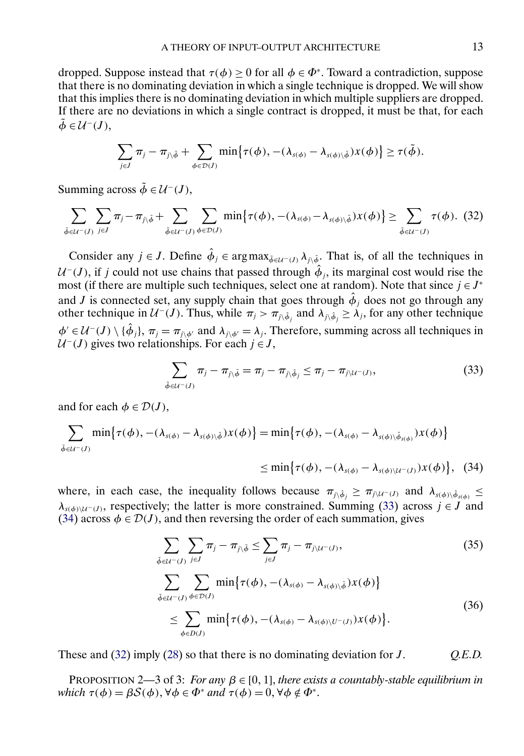dropped. Suppose instead that  $\tau(\phi) \ge 0$  for all  $\phi \in \Phi^*$ . Toward a contradiction, suppose that there is no dominating deviation in which a single technique is dropped. We will show that this implies there is no dominating deviation in which multiple suppliers are dropped. If there are no deviations in which a single contract is dropped, it must be that, for each  $\tilde{\phi} \in \mathcal{U}^-(J)$ ,

$$
\sum_{j\in J}\pi_j-\pi_{j\setminus\tilde{\phi}}+\sum_{\phi\in\mathcal{D}(J)}\min\bigl\{\tau(\phi),-(\lambda_{s(\phi)}-\lambda_{s(\phi)\setminus\tilde{\phi}})x(\phi)\bigr\}\geq\tau(\tilde{\phi}).
$$

Summing across  $\tilde{\phi} \in \mathcal{U}^{-1}(J)$ ,

$$
\sum_{\tilde{\phi}\in\mathcal{U}^{-}(J)}\sum_{j\in J}\pi_j-\pi_{j\setminus\tilde{\phi}}+\sum_{\tilde{\phi}\in\mathcal{U}^{-}(J)}\sum_{\phi\in\mathcal{D}(J)}\min\bigl\{\tau(\phi),-(\lambda_{s(\phi)}-\lambda_{s(\phi)\setminus\tilde{\phi}})x(\phi)\bigr\}\geq \sum_{\tilde{\phi}\in\mathcal{U}^{-}(J)}\tau(\phi). \tag{32}
$$

Consider any  $j \in J$ . Define  $\hat{\phi}_j \in \arg \max_{\tilde{\phi} \in \mathcal{U}^{-}(J)} \lambda_{j\tilde{\phi}}$ . That is, of all the techniques in  $U^{-}(J)$ , if j could not use chains that passed through  $\hat{\phi}_i$ , its marginal cost would rise the most (if there are multiple such techniques, select one at random). Note that since  $j \in J^*$ and *J* is connected set, any supply chain that goes through  $\hat{\phi}_i$  does not go through any other technique in  $U^-(J)$ . Thus, while  $\pi_j > \pi_{j\setminus \hat{\phi}_j}$  and  $\lambda_{j\setminus \hat{\phi}_j} \ge \lambda_j$ , for any other technique  $\phi' \in \mathcal{U}^-(J) \setminus \{\hat{\phi}_j\}, \pi_j = \pi_{j\setminus{\phi'}}$  and  $\lambda_{j\setminus{\phi'}} = \lambda_j$ . Therefore, summing across all techniques in  $U^{-}(J)$  gives two relationships. For each  $j \in J$ ,

$$
\sum_{\tilde{\phi}\in\mathcal{U}^-(J)}\pi_j-\pi_{j\setminus\tilde{\phi}}=\pi_j-\pi_{j\setminus\hat{\phi}_j}\leq\pi_j-\pi_{j\setminus\mathcal{U}^-(J)},\tag{33}
$$

and for each  $\phi \in \mathcal{D}(J)$ ,

$$
\sum_{\tilde{\phi}\in\mathcal{U}^{-}(J)}\min\{\tau(\phi),-(\lambda_{s(\phi)}-\lambda_{s(\phi)\setminus\tilde{\phi}})x(\phi)\}=\min\{\tau(\phi),-(\lambda_{s(\phi)}-\lambda_{s(\phi)\setminus\hat{\phi}_{s(\phi)}})x(\phi)\}
$$

$$
\leq \min\bigl\{\tau(\phi), -(\lambda_{s(\phi)}-\lambda_{s(\phi)\setminus\mathcal{U}^-(J)})x(\phi)\bigr\}, \quad (34)
$$

where, in each case, the inequality follows because  $\pi_{j\setminus \hat{\phi}_j} \geq \pi_{j\setminus U^-(J)}$  and  $\lambda_{s(\phi)\setminus \hat{\phi}_{s(\phi)}} \leq$  $\lambda_{s(\phi)\setminus U^-(J)}$ , respectively; the latter is more constrained. Summing (33) across  $j \in J$  and (34) across  $\phi \in \mathcal{D}(J)$ , and then reversing the order of each summation, gives

$$
\sum_{\tilde{\phi} \in \mathcal{U}^{-}(J)} \sum_{j \in J} \pi_j - \pi_{j\backslash \tilde{\phi}} \le \sum_{j \in J} \pi_j - \pi_{j\backslash \mathcal{U}^{-}(J)},
$$
\n
$$
\sum_{\tilde{\phi} \in \mathcal{U}^{-}(J)} \sum_{\phi \in \mathcal{D}(J)} \min \{ \tau(\phi), -(\lambda_{s(\phi)} - \lambda_{s(\phi)\backslash \tilde{\phi}}) x(\phi) \}
$$
\n
$$
\le \sum_{\phi \in D(J)} \min \{ \tau(\phi), -(\lambda_{s(\phi)} - \lambda_{s(\phi)\backslash U^{-}(J)}) x(\phi) \}.
$$
\n(36)

These and (32) imply [\(28\)](#page-10-0) so that there is no dominating deviation for J. *Q.E.D.*

PROPOSITION 2—3 of 3: *For any*  $\beta \in [0, 1]$ , *there exists a countably-stable equilibrium in which*  $\tau(\phi) = \beta \mathcal{S}(\phi)$ ,  $\forall \phi \in \Phi^*$  *and*  $\tau(\phi) = 0$ ,  $\forall \phi \notin \Phi^*$ .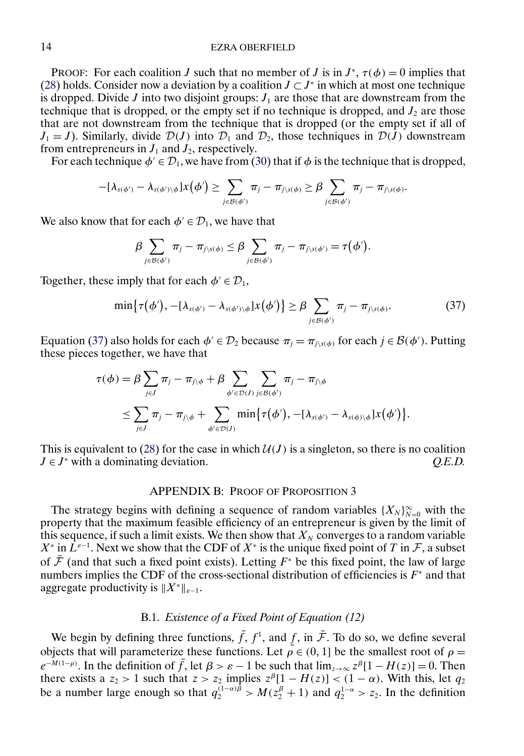PROOF: For each coalition J such that no member of J is in  $J^*$ ,  $\tau(\phi) = 0$  implies that [\(28\)](#page-10-0) holds. Consider now a deviation by a coalition  $J \subset J^*$  in which at most one technique is dropped. Divide J into two disjoint groups:  $J_1$  are those that are downstream from the technique that is dropped, or the empty set if no technique is dropped, and  $J_2$  are those that are not downstream from the technique that is dropped (or the empty set if all of  $J_1 = J$ ). Similarly, divide  $\mathcal{D}(J)$  into  $\mathcal{D}_1$  and  $\mathcal{D}_2$ , those techniques in  $\mathcal{D}(J)$  downstream from entrepreneurs in  $J_1$  and  $J_2$ , respectively.

For each technique  $\phi' \in \mathcal{D}_1$ , we have from [\(30\)](#page-11-0) that if  $\phi$  is the technique that is dropped,

$$
-[\lambda_{s(\phi')} - \lambda_{s(\phi')\setminus \phi}]x(\phi') \geq \sum_{j \in \mathcal{B}(\phi')} \pi_j - \pi_{j\setminus s(\phi)} \geq \beta \sum_{j \in \mathcal{B}(\phi')} \pi_j - \pi_{j\setminus s(\phi)}.
$$

We also know that for each  $\phi' \in \mathcal{D}_1$ , we have that

$$
\beta \sum_{j \in \mathcal{B}(\phi')} \pi_j - \pi_{j \setminus s(\phi)} \leq \beta \sum_{j \in \mathcal{B}(\phi')} \pi_j - \pi_{j \setminus s(\phi')} = \tau(\phi').
$$

Together, these imply that for each  $\phi' \in \mathcal{D}_1$ ,

$$
\min\{\tau(\phi'), -[\lambda_{s(\phi')} - \lambda_{s(\phi')\setminus\phi}]x(\phi')\} \geq \beta \sum_{j\in\mathcal{B}(\phi')} \pi_j - \pi_{j\setminus s(\phi)}.\tag{37}
$$

Equation (37) also holds for each  $\phi' \in \mathcal{D}_2$  because  $\pi_j = \pi_{j \setminus s(\phi)}$  for each  $j \in \mathcal{B}(\phi')$ . Putting these pieces together, we have that

$$
\tau(\phi) = \beta \sum_{j \in J} \pi_j - \pi_{j \setminus \phi} + \beta \sum_{\phi' \in \mathcal{D}(J)} \sum_{j \in \mathcal{B}(\phi')} \pi_j - \pi_{j \setminus \phi} \leq \sum_{j \in J} \pi_j - \pi_{j \setminus \phi} + \sum_{\phi' \in \mathcal{D}(J)} \min \{ \tau(\phi'), -[\lambda_{s(\phi')} - \lambda_{s(\phi) \setminus \phi}] x(\phi') \}.
$$

This is equivalent to [\(28\)](#page-10-0) for the case in which  $U(J)$  is a singleton, so there is no coalition  $J \in J^*$  with a dominating deviation. *O.E.D.*  $J \in J^*$  with a dominating deviation.

## APPENDIX B: PROOF OF PROPOSITION 3

The strategy begins with defining a sequence of random variables  $\{X_N\}_{N=0}^\infty$  with the property that the maximum feasible efficiency of an entrepreneur is given by the limit of this sequence, if such a limit exists. We then show that  $X_N$  converges to a random variable  $X^*$  in  $\hat{L}^{e-1}$ . Next we show that the CDF of  $X^*$  is the unique fixed point of T in F, a subset of  $\bar{\mathcal{F}}$  (and that such a fixed point exists). Letting  $F^*$  be this fixed point, the law of large numbers implies the CDF of the cross-sectional distribution of efficiencies is  $F^*$  and that aggregate productivity is  $||X^*||_{\varepsilon-1}$ .

## B.1. *Existence of a Fixed Point of Equation (12)*

We begin by defining three functions,  $\bar{f}$ ,  $f^1$ , and  $\bar{f}$ , in  $\bar{F}$ . To do so, we define several objects that will parameterize these functions. Let  $\rho \in (0, 1]$  be the smallest root of  $\rho =$  $e^{-M(1-\rho)}$ . In the definition of  $\bar{f}$ , let  $\beta > \varepsilon - 1$  be such that  $\lim_{z \to \infty} z^{\beta} [1 - H(z)] = 0$ . Then there exists a  $z_2 > 1$  such that  $z > z_2$  implies  $z^{\beta}[1 - H(z)] < (1 - \alpha)$ . With this, let  $q_2$ be a number large enough so that  $q_2^{(1-\alpha)\beta} > M(z_2^{\beta} + 1)$  and  $q_2^{1-\alpha} > z_2$ . In the definition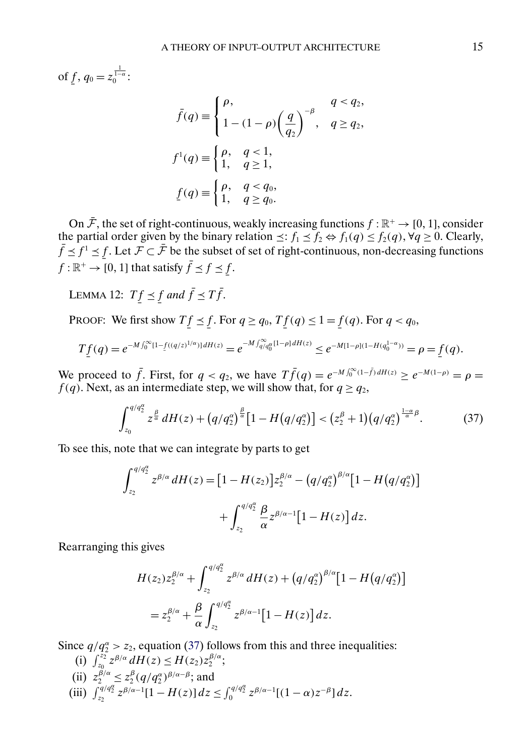of  $\underline{f}$ ,  $q_0 = z_0^{\frac{1}{1-\alpha}}$ : ¯

$$
\bar{f}(q) \equiv \begin{cases}\n\rho, & q < q_2, \\
1 - (1 - \rho) \left(\frac{q}{q_2}\right)^{-\beta}, & q \ge q_2, \\
f^1(q) \equiv \begin{cases}\n\rho, & q < 1, \\
1, & q \ge 1,\n\end{cases} \\
\underline{f}(q) \equiv \begin{cases}\n\rho, & q < q_0, \\
1, & q \ge q_0.\n\end{cases}\n\end{cases}
$$

On  $\bar{\mathcal{F}}$ , the set of right-continuous, weakly increasing functions  $f : \mathbb{R}^+ \to [0, 1]$ , consider the partial order given by the binary relation  $\leq$ :  $f_1 \leq f_2 \Leftrightarrow f_1(q) \leq f_2(q)$ ,  $\forall q \geq 0$ . Clearly,  $\bar{f} \leq f^1 \leq f$ . Let  $\bar{\mathcal{F}} \subset \bar{\mathcal{F}}$  be the subset of set of right-continuous, non-decreasing functions  $f: \mathbb{R}^+ \to [0, 1]$  that satisfy  $\bar{f} \preceq f \preceq f$ . ¯

LEMMA 12: T ــة<br>أ  $f \preceq$ ــة<br>أ f and  $\bar{f} \preceq T\bar{f}$ .

PROOF: We first show T ¯  $f \preceq$ ــة<br>أ f. For  $q \ge q_0$ , T ــة<br>أ  $f(q) \leq 1 =$ ــة<br>أ  $f(q)$ . For  $q < q_0$ ,

$$
T_{\underline{f}}(q) = e^{-M \int_0^{\infty} [1 - \underline{f}((q/z)^{1/\alpha})] dH(z)} = e^{-M \int_{q/q_0}^{\infty} [1 - \rho] dH(z)} \le e^{-M[1 - \rho](1 - H(q_0^{1 - \alpha}))} = \rho = \underline{f}(q).
$$

We proceed to  $\bar{f}$ . First, for  $q < q_2$ , we have  $T\bar{f}(q) = e^{-M\int_0^\infty (1-\bar{f}) dH(z)} \ge e^{-M(1-\rho)} = \rho =$  $f(q)$ . Next, as an intermediate step, we will show that, for  $q \geq q_2$ ,

$$
\int_{z_0}^{q/q_2^{\alpha}} z^{\frac{\beta}{\alpha}} dH(z) + (q/q_2^{\alpha})^{\frac{\beta}{\alpha}} [1 - H(q/q_2^{\alpha})] < (z_2^{\beta} + 1) (q/q_2^{\alpha})^{\frac{1-\alpha}{\alpha}\beta}.
$$
 (37)

To see this, note that we can integrate by parts to get

$$
\int_{z_2}^{q/q_2^{\alpha}} z^{\beta/\alpha} dH(z) = [1 - H(z_2)] z_2^{\beta/\alpha} - (q/q_2^{\alpha})^{\beta/\alpha} [1 - H(q/q_2^{\alpha})] + \int_{z_2}^{q/q_2^{\alpha}} \frac{\beta}{\alpha} z^{\beta/\alpha - 1} [1 - H(z)] dz.
$$

Rearranging this gives

$$
H(z_2)z_2^{\beta/\alpha} + \int_{z_2}^{q/q_2^{\alpha}} z^{\beta/\alpha} dH(z) + (q/q_2^{\alpha})^{\beta/\alpha} [1 - H(q/q_2^{\alpha})]
$$
  
=  $z_2^{\beta/\alpha} + \frac{\beta}{\alpha} \int_{z_2}^{q/q_2^{\alpha}} z^{\beta/\alpha-1} [1 - H(z)] dz.$ 

Since  $q/q_2^{\alpha} > z_2$ , equation (37) follows from this and three inequalities:

(i)  $\int_{z_0}^{z_2} z^{\beta/\alpha} dH(z) \le H(z_2) z_2^{\beta/\alpha};$ (ii)  $z_2^{\beta/\alpha} \leq z_2^{\beta} (q/q_2^{\alpha})^{\beta/\alpha-\beta}$ ; and (iii)  $\int_{z_2}^{q/q_2^{\alpha}} z^{\beta/\alpha-1} [1-H(z)] dz \le \int_0^{q/q_2^{\alpha}} z^{\beta/\alpha-1} [(1-\alpha)z^{-\beta}] dz.$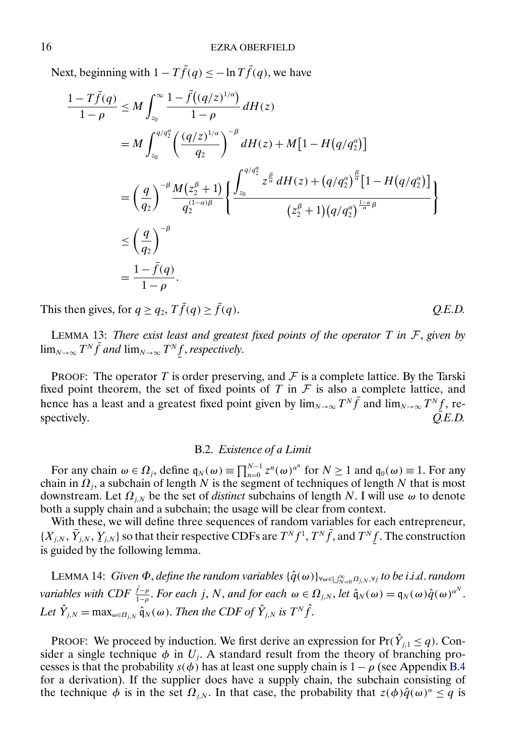<span id="page-15-0"></span>Next, beginning with  $1 - T\bar{f}(q) \leq -\ln T\bar{f}(q)$ , we have

$$
\frac{1 - T\bar{f}(q)}{1 - \rho} \leq M \int_{z_0}^{\infty} \frac{1 - \bar{f}((q/z)^{1/\alpha})}{1 - \rho} dH(z)
$$
\n
$$
= M \int_{z_0}^{q/q_{2}^{\alpha}} \left(\frac{(q/z)^{1/\alpha}}{q_2}\right)^{-\beta} dH(z) + M[1 - H(q/q_{2}^{\alpha})]
$$
\n
$$
= \left(\frac{q}{q_2}\right)^{-\beta} \frac{M(z_{2}^{\beta} + 1)}{q_2^{(1 - \alpha)\beta}} \left\{ \frac{\int_{z_0}^{q/q_{2}^{\alpha}} z^{\frac{\beta}{\alpha}} dH(z) + (q/q_{2}^{\alpha})^{\frac{\beta}{\alpha}} [1 - H(q/q_{2}^{\alpha})]}{(z_{2}^{\beta} + 1)(q/q_{2}^{\alpha})^{\frac{1 - \alpha}{\alpha}\beta}} \right\}
$$
\n
$$
\leq \left(\frac{q}{q_2}\right)^{-\beta}
$$
\n
$$
= \frac{1 - \bar{f}(q)}{1 - \rho}.
$$

This then gives, for  $q \ge q_2$ ,  $T\bar{f}(q) \ge \bar{f}(q)$ .  $Q.E.D.$ 

LEMMA 13: *There exist least and greatest fixed points of the operator* T *in* F, *given by*  $\lim_{N\to\infty} T^N \bar{f}$  and  $\lim_{N\to\infty} T^N f$ , respectively. ــة<br>أ

PROOF: The operator T is order preserving, and  $\mathcal F$  is a complete lattice. By the Tarski fixed point theorem, the set of fixed points of  $T$  in  $\mathcal F$  is also a complete lattice, and hence has a least and a greatest fixed point given by  $\lim_{N\to\infty} T^N \bar{f}$  and  $\lim_{N\to\infty} T^N \bar{f}$ , re- $Q.E.D.$ spectively.

# B.2. *Existence of a Limit*

For any chain  $\omega \in \Omega_j$ , define  $\mathfrak{q}_N(\omega) \equiv \prod_{n=0}^{N-1} z^n(\omega)^{\alpha^n}$  for  $N \ge 1$  and  $\mathfrak{q}_0(\omega) \equiv 1$ . For any chain in  $\Omega_j$ , a subchain of length N is the segment of techniques of length N that is most downstream. Let  $\Omega_{i,N}$  be the set of *distinct* subchains of length N. I will use  $\omega$  to denote both a supply chain and a subchain; the usage will be clear from context.

With these, we will define three sequences of random variables for each entrepreneur,  $\{X_{j,N}, \overline{Y}_{j,N}, \overline{Y}_{j,N}\}$  so that their respective CDFs are  $T^N f^1, T^N \overline{f}$ , and  $T^N$ is guided by the following lemma. ــة<br>أ  $f$ . The construction

LEMMA 14: *Given*  $\Phi$ *, define the random variables*  $\{\hat{q}(\omega)\}_{\forall \omega \in \bigcup_{N=0}^{\infty}\Omega_{j,N},\forall j}$  to be i.i.d. random *variables with CDF*  $\frac{\hat{f}-\rho}{1-\rho}$ . *For each* j, N, and for each  $\omega \in \Omega_{j,N}$ , let  $\hat{q}_N(\omega) = q_N(\omega) \hat{q}(\omega)^{\alpha^N}$ . *Let*  $\hat{Y}_{i,N} = \max_{\omega \in \Omega_{i,N}} \hat{q}_N(\omega)$ . *Then the CDF of*  $\hat{Y}_{i,N}$  *is*  $T^N \hat{f}$ .

PROOF: We proceed by induction. We first derive an expression for  $Pr(\hat{Y}_{j,1} \leq q)$ . Consider a single technique  $\phi$  in  $U_j$ . A standard result from the theory of branching processes is that the probability  $s(\phi)$  has at least one supply chain is  $1 - \rho$  (see Appendix [B.4](#page-20-0)) for a derivation). If the supplier does have a supply chain, the subchain consisting of the technique  $\phi$  is in the set  $\Omega_{i,N}$ . In that case, the probability that  $z(\phi)\hat{q}(\omega)^{\alpha} \leq q$  is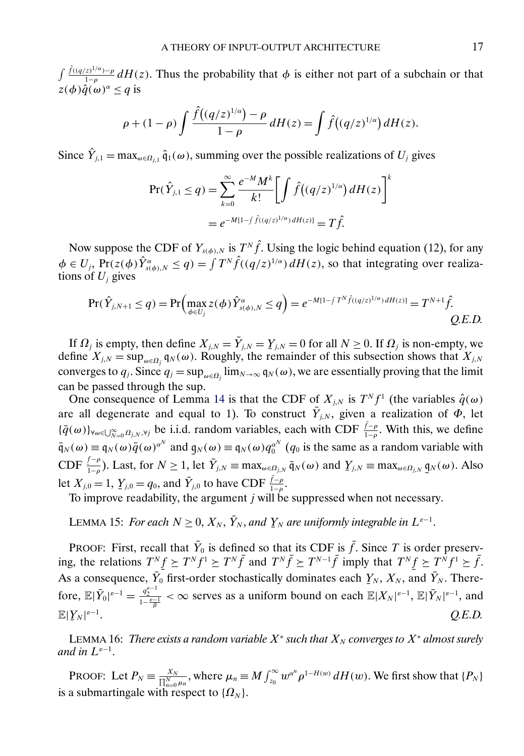$\int \frac{\hat{f}((q/z)^{1/\alpha})-\rho}{1-\rho} dH(z)$ . Thus the probability that  $\phi$  is either not part of a subchain or that  $z(\phi)\hat{q}(\omega)^{\alpha} \leq q$  is

$$
\rho + (1 - \rho) \int \frac{\hat{f}((q/z)^{1/\alpha}) - \rho}{1 - \rho} dH(z) = \int \hat{f}((q/z)^{1/\alpha}) dH(z).
$$

Since  $\hat{Y}_{j,1} = \max_{\omega \in \Omega_{j,1}} \hat{q}_1(\omega)$ , summing over the possible realizations of  $U_j$  gives

$$
\Pr(\hat{Y}_{j,1} \le q) = \sum_{k=0}^{\infty} \frac{e^{-M} M^k}{k!} \left[ \int \hat{f}((q/z)^{1/\alpha}) dH(z) \right]^k
$$
  
=  $e^{-M[1 - \int \hat{f}((q/z)^{1/\alpha}) dH(z)]} = T \hat{f}.$ 

Now suppose the CDF of  $Y_{s(\phi),N}$  is  $T^N\hat{f}$ . Using the logic behind equation (12), for any  $\phi \in U_j$ , Pr( $z(\phi) \hat{Y}_{s(\phi),N}^{\alpha} \leq q$ ) =  $\int T^N \hat{f}((q/z)^{1/\alpha}) dH(z)$ , so that integrating over realizations of  $U_j$  gives

$$
\Pr(\hat{Y}_{j,N+1} \le q) = \Pr\Big(\max_{\phi \in U_j} z(\phi) \hat{Y}_{s(\phi),N}^{\alpha} \le q\Big) = e^{-M[1 - \int T^N \hat{f}((q/z)^{1/\alpha}) dH(z)]} = T^{N+1} \hat{f}.
$$
  
Q.E.D.

If  $\Omega_j$  is empty, then define  $X_{j,N} = \overline{Y}_{j,N} = Y_{j,N} = 0$  for all  $N \ge 0$ . If  $\Omega_j$  is non-empty, we fine  $X_{j,N} = \sup_{\Omega} |f(\omega)|$ . Roughly, the remainder of this subsection shows that  $X_{j,N}$ define  $X_{j,N} = \sup_{\omega \in \Omega_j} \mathfrak{q}_N(\omega)$ . Roughly, the remainder of this subsection shows that  $X_{j,N}$ converges to  $q_j$ . Since  $q_j = \sup_{\omega \in \Omega_j} \lim_{N \to \infty} q_N(\omega)$ , we are essentially proving that the limit can be passed through the sup.

One consequence of Lemma [14](#page-15-0) is that the CDF of  $X_{i,N}$  is  $T^N f^1$  (the variables  $\hat{q}(\omega)$ ) are all degenerate and equal to 1). To construct  $\bar{Y}_{j,N}$ , given a realization of  $\bar{\Phi}$ , let  $\{\bar{q}(\omega)\}_{\forall \omega \in \bigcup_{N=0}^{\infty} \Omega_{j,N},\forall j}$  be i.i.d. random variables, each with CDF  $\frac{\bar{f}-\rho}{1-\rho}$ . With this, we define  $\bar{q}_N(\omega) \equiv q_N(\omega) \bar{q}(\omega)^{\alpha^N}$  and  $q_N(\omega) \equiv q_N(\omega) q_0^{\alpha^N}$   $(q_0 \text{ is the same as a random variable with})$ CDF  $\frac{f-\rho}{1-\rho}$ ). Last, for  $N \ge 1$ , let  $\overline{Y}_{j,N} \equiv \max_{\omega \in \Omega_{j,N}} \overline{q}_N(\omega)$  and  $Y_{j,N} \equiv \max_{\omega \in \Omega_{j,N}} q$  $q_N(\omega)$ . Also let  $X_{j,0} = 1$ ,  $Y_{j,0} = q_0$ , and  $\bar{Y}_{j,0}$  to have CDF  $\frac{\bar{f}-\rho}{1-\rho}$ .<br>To improve readebility, the example i will be

To improve readability, the argument  $j$  will be suppressed when not necessary.

LEMMA 15: For each  $N \geq 0$ ,  $X_N$ ,  $\bar{Y}_N$ , and  $\bar{Y}_N$  are uniformly integrable in  $L^{s-1}$ .

PROOF: First, recall that  $\bar{Y}_0$  is defined so that its CDF is  $\bar{f}$ . Since T is order preserving, the relations  $T^N f \geq T^N f^1 \geq T^N \overline{f}$  and  $T^N \overline{f} \geq T^{N-1} \overline{f}$  imply that  $T^N f \geq T^N f^1 \geq \overline{f}$ . As a consequence,  $\overline{Y}_0^{\epsilon}$  first-order stochastically dominates each  $Y_N$ ,  $X_N$ , and  $\overline{Y}_N$ . Therefore,  $\mathbb{E}|\bar{Y}_0|^{s-1} = \frac{q_2^{s-1}}{1-\frac{s-1}{\beta}} < \infty$  serves as a uniform bound on each  $\mathbb{E}|X_N|^{s-1}$ ,  $\mathbb{E}|\bar{Y}_N|^{s-1}$ , and  $\mathbb{E}$  $|Y_N|$  $e^{-1}$ .  $Q.E.D.$ 

LEMMA 16: *There exists a random variable*  $X^*$  *such that*  $X_N$  *converges to*  $X^*$  *almost surely and in*  $L^{\varepsilon-1}$ .

PROOF: Let  $P_N = \frac{X_N}{\prod_{n=0}^N \mu_n}$ , where  $\mu_n \equiv M \int_{z_0}^{\infty} w^{\alpha^n} \rho^{1-H(w)} dH(w)$ . We first show that  $\{P_N\}$ is a submartingale with respect to  $\{\Omega_N\}.$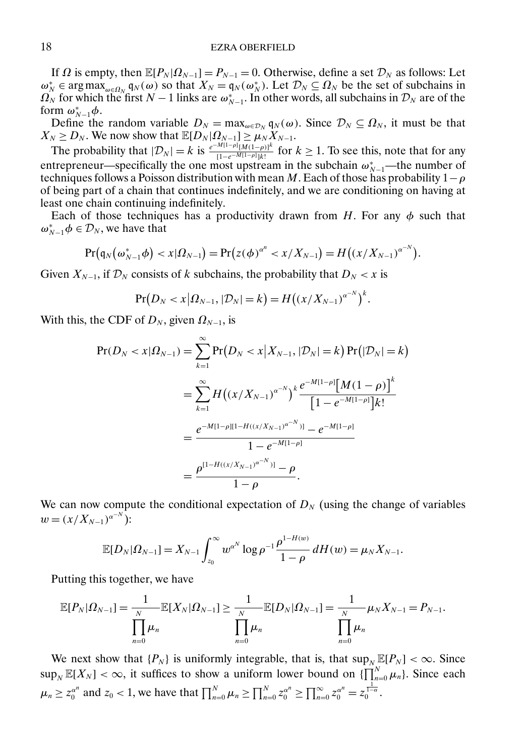If  $\Omega$  is empty, then  $\mathbb{E}[P_N|\Omega_{N-1}] = P_{N-1} = 0$ . Otherwise, define a set  $\mathcal{D}_N$  as follows: Let  $\omega_N^* \in \arg \max_{\omega \in \Omega_N} \mathfrak{q}_N(\omega)$  so that  $X_N = \mathfrak{q}_N(\omega_N^*)$ . Let  $\mathcal{D}_N \subseteq \Omega_N$  be the set of subchains in  $\Omega_N$  for which the first  $N-1$  links are  $\omega_{N-1}^*$ . In other words, all subchains in  $\mathcal{D}_N$  are of the form  $\omega_{N-1}^* \phi$ .

Define the random variable  $D_N = \max_{\omega \in \mathcal{D}_N} q_N(\omega)$ . Since  $\mathcal{D}_N \subseteq \Omega_N$ , it must be that  $X_N \geq D_N$ . We now show that  $\mathbb{E}[D_N|\Omega_{N-1}] \geq \mu_N X_{N-1}$ .

The probability that  $|\mathcal{D}_N| = k$  is  $\frac{e^{-M[1-\rho]}[M(1-\rho)]^k}{[1-e^{-M[1-\rho]}]k!}$  for  $k \ge 1$ . To see this, note that for any entrepreneur—specifically the one most upstream in the subchain  $\omega_{N-1}^*$ —the number of techniques follows a Poisson distribution with mean M. Each of those has probability  $1-\rho$ of being part of a chain that continues indefinitely, and we are conditioning on having at least one chain continuing indefinitely.

Each of those techniques has a productivity drawn from H. For any  $\phi$  such that  $\omega_{N-1}^* \phi \in \mathcal{D}_N$ , we have that

$$
\Pr(q_N(\omega_{N-1}^*\phi) < x | \Omega_{N-1}) = \Pr(z(\phi)^{\alpha^n} < x / X_{N-1}) = H((x / X_{N-1})^{\alpha^{-N}}).
$$

Given  $X_{N-1}$ , if  $\mathcal{D}_N$  consists of k subchains, the probability that  $D_N < x$  is

$$
Pr(D_N < x | \Omega_{N-1}, |\mathcal{D}_N| = k) = H((x / X_{N-1})^{\alpha^{-N}})^{k}.
$$

With this, the CDF of  $D_N$ , given  $\Omega_{N-1}$ , is

$$
\Pr(D_N < x | \Omega_{N-1}) = \sum_{k=1}^{\infty} \Pr(D_N < x | X_{N-1}, |\mathcal{D}_N| = k) \Pr(|\mathcal{D}_N| = k)
$$
\n
$$
= \sum_{k=1}^{\infty} H\left((x / X_{N-1})^{\alpha - N}\right)^k \frac{e^{-M[1-\rho]}[M(1-\rho)]^k}{[1 - e^{-M[1-\rho]}]k!}
$$
\n
$$
= \frac{e^{-M[1-\rho][1-H((x / X_{N-1})^{\alpha - N})]} - e^{-M[1-\rho]}}{1 - e^{-M[1-\rho]}}
$$
\n
$$
= \frac{\rho^{[1-H((x / X_{N-1})^{\alpha - N})]} - \rho}{1 - \rho}.
$$

We can now compute the conditional expectation of  $D<sub>N</sub>$  (using the change of variables  $w = (x/X_{N-1})^{\alpha^{-N}}$ ):

$$
\mathbb{E}[D_N|\Omega_{N-1}] = X_{N-1} \int_{z_0}^{\infty} w^{\alpha^N} \log \rho^{-1} \frac{\rho^{1-H(w)}}{1-\rho} dH(w) = \mu_N X_{N-1}.
$$

Putting this together, we have

$$
\mathbb{E}[P_N|\Omega_{N-1}] = \frac{1}{\prod_{n=0}^N \mu_n} \mathbb{E}[X_N|\Omega_{N-1}] \ge \frac{1}{\prod_{n=0}^N \mu_n} \mathbb{E}[D_N|\Omega_{N-1}] = \frac{1}{\prod_{n=0}^N \mu_n} \mu_N X_{N-1} = P_{N-1}.
$$

We next show that  $\{P_N\}$  is uniformly integrable, that is, that  $\sup_N \mathbb{E}[P_N] < \infty$ . Since  $\sup_N \mathbb{E}[X_N] < \infty$ , it suffices to show a uniform lower bound on  $\{\prod_{n=0}^N \mu_n\}$ . Since each  $\mu_n \ge z_0^{\alpha^n}$  and  $z_0 < 1$ , we have that  $\prod_{n=0}^N \mu_n \ge \prod_{n=0}^N z_0^{\alpha^n} \ge \prod_{n=0}^\infty z_0^{\alpha^n} = z_0^{\frac{1}{1-\alpha}}$ .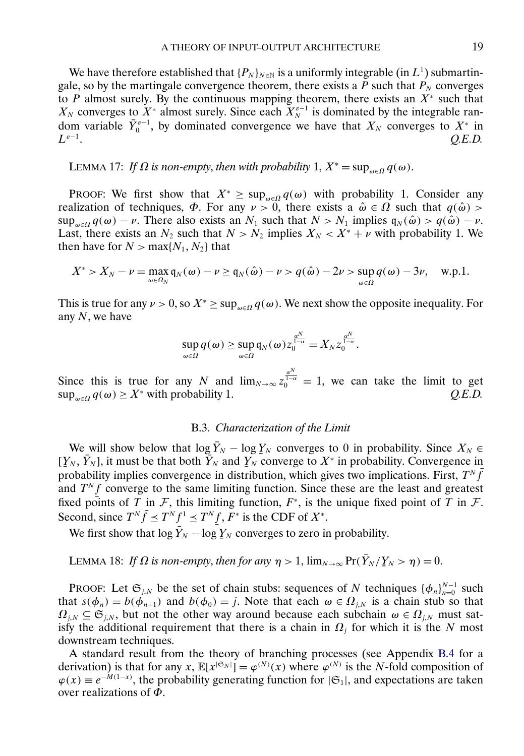We have therefore established that  $\{P_N\}_{N\in\mathbb{N}}$  is a uniformly integrable (in  $L^1$ ) submartingale, so by the martingale convergence theorem, there exists a  $P$  such that  $P_N$  converges to P almost surely. By the continuous mapping theorem, there exists an  $X^*$  such that  $X_N$  converges to  $X^*$  almost surely. Since each  $X_N^{e-1}$  is dominated by the integrable random variable  $\bar{Y}_0^{\varepsilon-1}$ , by dominated convergence we have that  $X_N$  converges to  $X^*$  in  $L^{s-1}$ . *Q.E.D.* 

LEMMA 17: *If*  $\Omega$  *is non-empty, then with probability* 1,  $X^* = \sup_{\omega \in \Omega} q(\omega)$ .

PROOF: We first show that  $X^* \geq \sup_{\omega \in \Omega} q(\omega)$  with probability 1. Consider any realization of techniques,  $\Phi$ . For any  $\nu > 0$ , there exists a  $\hat{\omega} \in \Omega$  such that  $q(\hat{\omega}) > 0$  $\sup_{\omega \in \Omega} q(\omega) - \nu$ . There also exists an  $N_1$  such that  $N > N_1$  implies  $q_N(\hat{\omega}) > q(\hat{\omega}) - \nu$ . Last, there exists an  $N_2$  such that  $N > N_2$  implies  $X_N < X^* + \nu$  with probability 1. We then have for  $N > \max\{N_1, N_2\}$  that

$$
X^* > X_N - \nu = \max_{\omega \in \Omega_N} \mathfrak{q}_N(\omega) - \nu \ge \mathfrak{q}_N(\hat{\omega}) - \nu > q(\hat{\omega}) - 2\nu > \sup_{\omega \in \Omega} q(\omega) - 3\nu, \quad \text{w.p.1.}
$$

This is true for any  $\nu > 0$ , so  $X^* \ge \sup_{\alpha \in \Omega} q(\omega)$ . We next show the opposite inequality. For any  $N$ , we have

$$
\sup_{\omega \in \Omega} q(\omega) \geq \sup_{\omega \in \Omega} \mathfrak{q}_N(\omega) z_0^{\frac{\alpha^N}{1-\alpha}} = X_N z_0^{\frac{\alpha^N}{1-\alpha}}.
$$

Since this is true for any N and  $\lim_{N\to\infty} z_0^{\frac{R^N}{1-\alpha}} = 1$ , we can take the limit to get  $\sup_{\omega \in \Omega} q(\omega) \geq X^*$  with probability 1.  $Q.E.D.$ 

## B.3. *Characterization of the Limit*

We will show below that  $\log \bar{Y}_N - \log \underline{Y}_N$  converges to 0 in probability. Since  $X_N \in$ <br>Y<sub>N</sub>  $\bar{Y}_N$ , it must be that both  $\bar{Y}_N$  and  $Y_N$  converge to  $X^*$  in probability. Convergence in  $[\underline{Y}_N, \overline{Y}_N]$ , it must be that both  $\overline{Y}_N$  and  $\underline{Y}_N$  converge to  $X^*$  in probability. Convergence in probability implies convergence in distribution, which gives two implications. First,  $T^N \bar{f}$ and  $T<sup>N</sup>f$  converge to the same limiting function. Since these are the least and greatest fixed points of T in F, this limiting function,  $F^*$ , is the unique fixed point of T in F. Second, since  $T^N \bar{f} \preceq T^N f^1 \preceq T^N f$ ,  $\bar{F}^*$  is the CDF of  $X^*$ .

We first show that  $\log \overline{Y}_N - \log \overline{Y}_N$  converges to zero in probability.

LEMMA 18: *If*  $\Omega$  *is non-empty, then for any*  $\eta > 1$ ,  $\lim_{N \to \infty} \Pr(\bar{Y}_N / Y_N > \eta) = 0$ .

PROOF: Let  $\mathfrak{S}_{j,N}$  be the set of chain stubs: sequences of N techniques  $\{\phi_n\}_{n=0}^{N-1}$  such that  $s(\phi_n) = b(\phi_{n+1})$  and  $b(\phi_0) = j$ . Note that each  $\omega \in \Omega_{i,N}$  is a chain stub so that  $\Omega_{j,N} \subseteq \mathfrak{S}_{j,N}$ , but not the other way around because each subchain  $\omega \in \Omega_{j,N}$  must satisfy the additional requirement that there is a chain in  $\Omega_i$  for which it is the N most downstream techniques.

A standard result from the theory of branching processes (see Appendix [B.4](#page-20-0) for a derivation) is that for any x,  $\mathbb{E}[x^{|\mathfrak{S}_N|}] = \varphi^{(N)}(x)$  where  $\varphi^{(N)}$  is the N-fold composition of  $\varphi(x) \equiv e^{-M(1-x)}$ , the probability generating function for  $|\mathfrak{S}_1|$ , and expectations are taken over realizations of  $\overline{\Phi}$ .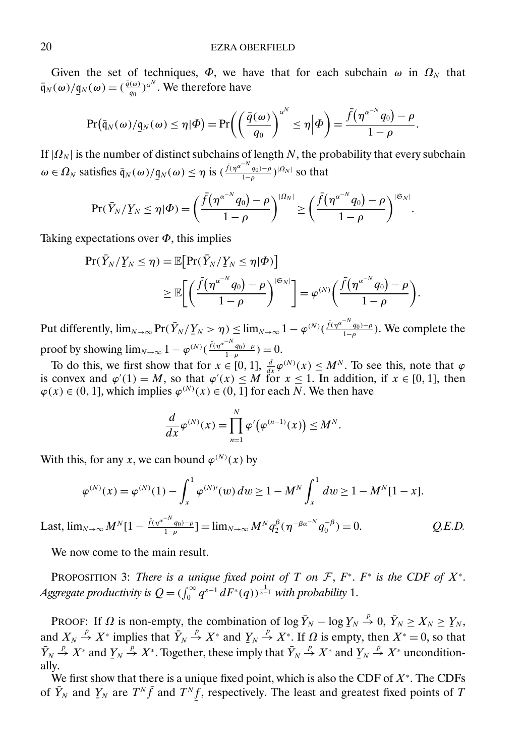Given the set of techniques,  $\Phi$ , we have that for each subchain  $\omega$  in  $\Omega_N$  that  $\bar{\mathfrak{q}}_N(\omega)/\underline{\mathfrak{q}}_N(\omega) = (\frac{\bar{q}(\omega)}{q_0})^{\alpha^N}$ . We therefore have

$$
\Pr(\bar{q}_N(\omega)/q_N(\omega) \leq \eta | \Phi) = \Pr\left(\left(\frac{\bar{q}(\omega)}{q_0}\right)^{\alpha^N} \leq \eta \middle| \Phi\right) = \frac{\bar{f}(\eta^{\alpha^{-N}}q_0) - \rho}{1 - \rho}.
$$

If  $|\Omega_N|$  is the number of distinct subchains of length N, the probability that every subchain  $\omega \in \Omega_N$  satisfies  $\bar{q}_N(\omega) / \underline{q}_N(\omega) \le \eta$  is  $(\frac{\bar{f}(n^{\alpha-N}q_0) - \rho}{1-\rho})^{| \Omega_N |}$  so that

$$
\Pr(\bar{Y}_N/Y_N \leq \eta | \Phi) = \left(\frac{\bar{f}(\eta^{\alpha^{-N}}q_0) - \rho}{1-\rho}\right)^{|\Omega_N|} \geq \left(\frac{\bar{f}(\eta^{\alpha^{-N}}q_0) - \rho}{1-\rho}\right)^{|\mathfrak{S}_N|}.
$$

Taking expectations over  $\Phi$ , this implies

$$
\begin{aligned} \Pr(\bar{Y}_N/\underline{Y}_N \leq \eta) &= \mathbb{E}\Big[ \Pr(\bar{Y}_N/\underline{Y}_N \leq \eta | \Phi) \Big] \\ &\geq \mathbb{E}\bigg[ \left( \frac{\bar{f}\big(\eta^{\alpha^{-N}}q_0\big) - \rho}{1 - \rho} \right)^{|\mathfrak{S}_N|} \bigg] = \varphi^{(N)} \bigg( \frac{\bar{f}\big(\eta^{\alpha^{-N}}q_0\big) - \rho}{1 - \rho} \bigg). \end{aligned}
$$

Put differently,  $\lim_{N\to\infty} \Pr(\bar{Y}_N/\underline{Y}_N > \eta) \le \lim_{N\to\infty} 1 - \varphi^{(N)}(\frac{\bar{f}(\eta^{\alpha-N}q_0)-\rho}{1-\rho})$ . We complete the proof by showing  $\lim_{N\to\infty} 1 - \varphi^{(N)}(\frac{\bar{f}(n^{\alpha-N}q_0)-\rho}{1-\rho}) = 0.$ 

To do this, we first show that for  $x \in [0, 1]$ ,  $\frac{d}{dx} \varphi^{(N)}(x) \le M^N$ . To see this, note that  $\varphi$ is convex and  $\varphi'(1) = M$ , so that  $\varphi'(x) \leq M$  for  $x \leq 1$ . In addition, if  $x \in [0, 1]$ , then  $\varphi(x) \in (0, 1]$ , which implies  $\varphi^{(N)}(x) \in (0, 1]$  for each N. We then have

$$
\frac{d}{dx}\varphi^{(N)}(x) = \prod_{n=1}^{N} \varphi'(\varphi^{(n-1)}(x)) \leq M^{N}.
$$

With this, for any x, we can bound  $\varphi^{(N)}(x)$  by

$$
\varphi^{(N)}(x) = \varphi^{(N)}(1) - \int_x^1 \varphi^{(N)}(w) \, dw \ge 1 - M^N \int_x^1 dw \ge 1 - M^N [1 - x].
$$

Last,  $\lim_{N \to \infty} M^N [1 - \frac{\bar{f}( \eta^{\alpha-N} q_0) - \rho}{1 - \rho}] = \lim_{N \to \infty} M^N q_2^{\beta} (\eta^{-\beta \alpha^{-N}} q_0^{-\beta}) = 0.$  *Q.E.D.* 

We now come to the main result.

PROPOSITION 3: *There is a unique fixed point of*  $T$  *on*  $\mathcal{F}$ ,  $F^*$ .  $F^*$  *is the CDF of*  $X^*$ . *Aggregate productivity is*  $Q = (\int_0^\infty q^{s-1} dF^*(q))^{\frac{1}{s-1}}$  *with probability* 1.

PROOF: If  $\Omega$  is non-empty, the combination of  $\log \bar{Y}_N - \log Y_N \stackrel{p}{\to} 0$ ,  $\bar{Y}_N \ge X_N \ge Y_N$ , and  $X_N \stackrel{p}{\to} X^*$  implies that  $\overline{Y}_N \stackrel{p}{\to} X^*$  and  $Y_N \stackrel{p}{\to} X^*$ . If  $\Omega$  is empty, then  $X^* = 0$ , so that  $\bar{Y}_N \stackrel{p}{\rightarrow} X^*$  and  $\underline{Y}_N \stackrel{p}{\rightarrow} X^*$ . Together, these imply that  $\bar{Y}_N \stackrel{p}{\rightarrow} X^*$  and  $\underline{Y}_N \stackrel{p}{\rightarrow} X^*$  unconditionally.

We first show that there is a unique fixed point, which is also the CDF of  $X^*$ . The CDFs of  $\bar{Y}_N$  and  $\bar{Y}_N$  are  $T^N \bar{f}$  and  $T^N \bar{f}$ , respectively. The least and greatest fixed points of T ــة<br>أ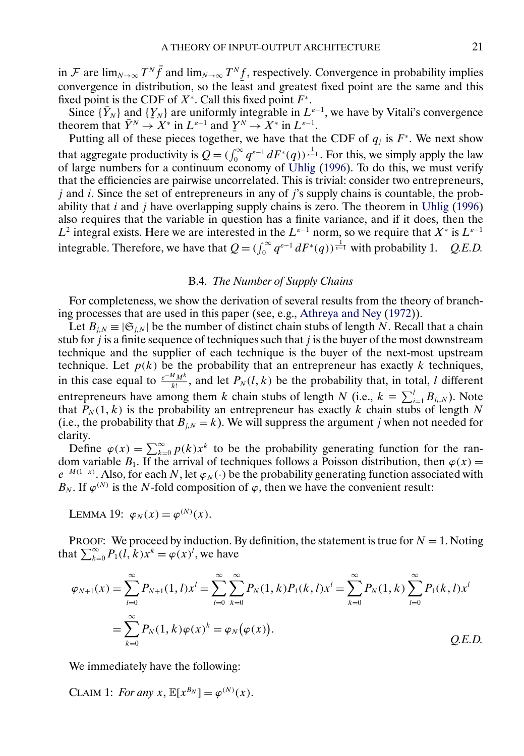<span id="page-20-0"></span>in F are  $\lim_{N\to\infty} T^N \bar{f}$  and  $\lim_{N\to\infty} T^N \bar{f}$ , respectively. Convergence in probability implies convergence in distribution, so the least and greatest fixed point are the same and this fixed point is the CDF of  $X^*$ . Call this fixed point  $F^*$ .

Since  $\{\bar{Y}_N\}$  and  $\{Y_N\}$  are uniformly integrable in  $L^{e-1}$ , we have by Vitali's convergence theorem that  $\overline{Y}^N \to X^*$  in  $L^{\varepsilon-1}$  and  $Y^N \to X^*$  in  $L^{\varepsilon-1}$ .<br>Putting all of these pieces together, we have that the

Putting all of these pieces together, we have that the CDF of  $q_i$  is  $F^*$ . We next show that aggregate productivity is  $Q = (\int_0^\infty q^{e-1} dF^*(q))^{\frac{1}{e-1}}$ . For this, we simply apply the law of large numbers for a continuum economy of [Uhlig](#page-37-0) [\(1996\)](#page-37-0). To do this, we must verify that the efficiencies are pairwise uncorrelated. This is trivial: consider two entrepreneurs,  $j$  and i. Since the set of entrepreneurs in any of  $j$ 's supply chains is countable, the probability that  $i$  and  $j$  have overlapping supply chains is zero. The theorem in [Uhlig](#page-37-0) [\(1996\)](#page-37-0) also requires that the variable in question has a finite variance, and if it does, then the L<sup>2</sup> integral exists. Here we are interested in the L<sup>ε-1</sup> norm, so we require that  $X^*$  is  $L^{s-1}$ integrable. Therefore, we have that  $Q = (\int_0^\infty q^{s-1} dF^*(q))^{\frac{1}{s-1}}$  with probability 1. *Q.E.D.* 

# B.4. *The Number of Supply Chains*

For completeness, we show the derivation of several results from the theory of branching processes that are used in this paper (see, e.g., [Athreya and Ney](#page-37-0) [\(1972\)](#page-37-0)).

Let  $B_{j,N} = |\mathfrak{S}_{j,N}|$  be the number of distinct chain stubs of length N. Recall that a chain stub for  $j$  is a finite sequence of techniques such that  $j$  is the buyer of the most downstream technique and the supplier of each technique is the buyer of the next-most upstream technique. Let  $p(k)$  be the probability that an entrepreneur has exactly k techniques, in this case equal to  $\frac{e^{-M}M^k}{k!}$ , and let  $P_N(l, k)$  be the probability that, in total, l different entrepreneurs have among them k chain stubs of length N (i.e.,  $k = \sum_{i=1}^{l} B_{j_i,N}$ ). Note that  $P_N(1, k)$  is the probability an entrepreneur has exactly k chain stubs of length N (i.e., the probability that  $B_{i,N} = k$ ). We will suppress the argument j when not needed for clarity.

Define  $\varphi(x) = \sum_{k=0}^{\infty} p(k)x^k$  to be the probability generating function for the random variable  $B_1$ . If the arrival of techniques follows a Poisson distribution, then  $\varphi(x) =$  $e^{-M(1-x)}$ . Also, for each N, let  $\varphi_N(\cdot)$  be the probability generating function associated with  $B_N$ . If  $\varphi^{(N)}$  is the N-fold composition of  $\varphi$ , then we have the convenient result:

LEMMA 19: 
$$
\varphi_N(x) = \varphi^{(N)}(x)
$$
.

PROOF: We proceed by induction. By definition, the statement is true for  $N = 1$ . Noting that  $\sum_{k=0}^{\infty} P_1(l, k) x^k = \varphi(x)^l$ , we have

$$
\varphi_{N+1}(x) = \sum_{l=0}^{\infty} P_{N+1}(1, l)x^{l} = \sum_{l=0}^{\infty} \sum_{k=0}^{\infty} P_{N}(1, k)P_{1}(k, l)x^{l} = \sum_{k=0}^{\infty} P_{N}(1, k) \sum_{l=0}^{\infty} P_{1}(k, l)x^{l}
$$

$$
= \sum_{k=0}^{\infty} P_{N}(1, k)\varphi(x)^{k} = \varphi_{N}(\varphi(x)).
$$
Q.E.D.

We immediately have the following:

CLAIM 1: *For any*  $x$ ,  $\mathbb{E}[x^{B_N}] = \varphi^{(N)}(x)$ .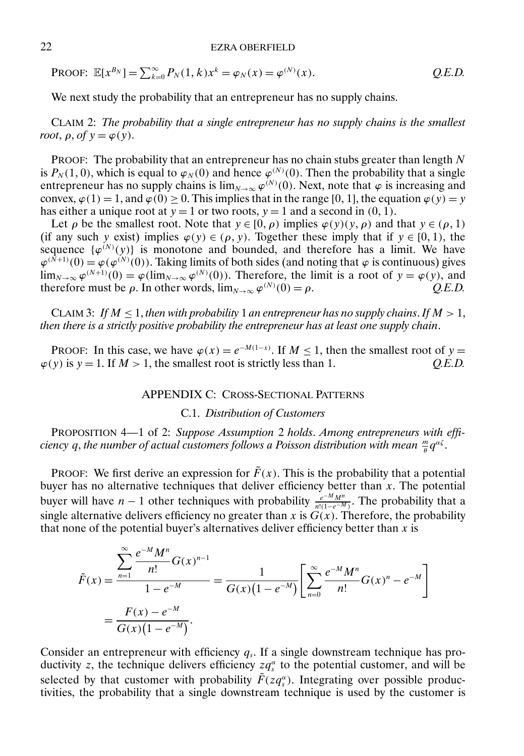PROOF: 
$$
\mathbb{E}[x^{B_N}] = \sum_{k=0}^{\infty} P_N(1, k) x^k = \varphi_N(x) = \varphi^{(N)}(x).
$$
 Q.E.D.

We next study the probability that an entrepreneur has no supply chains.

CLAIM 2: *The probability that a single entrepreneur has no supply chains is the smallest root*,  $\rho$ , *of*  $y = \varphi(y)$ .

PROOF: The probability that an entrepreneur has no chain stubs greater than length  $N$ is  $P_N(1,0)$ , which is equal to  $\varphi_N(0)$  and hence  $\varphi^{(N)}(0)$ . Then the probability that a single entrepreneur has no supply chains is  $\lim_{N\to\infty} \varphi^{(N)}(0)$ . Next, note that  $\varphi$  is increasing and convex,  $\varphi(1) = 1$ , and  $\varphi(0) \ge 0$ . This implies that in the range [0, 1], the equation  $\varphi(y) = y$ has either a unique root at  $y = 1$  or two roots,  $y = 1$  and a second in (0, 1).

Let  $\rho$  be the smallest root. Note that  $y \in [0, \rho)$  implies  $\varphi(y)(y, \rho)$  and that  $y \in (\rho, 1)$ (if any such y exist) implies  $\varphi(y) \in (\rho, y)$ . Together these imply that if  $y \in [0, 1)$ , the sequence  $\{\varphi^{(N)}(y)\}\$ is monotone and bounded, and therefore has a limit. We have  $\varphi^{(N+1)}(0) = \varphi(\varphi^{(N)}(0))$ . Taking limits of both sides (and noting that  $\varphi$  is continuous) gives  $\lim_{N\to\infty}\varphi^{(N+1)}(0)=\varphi(\lim_{N\to\infty}\varphi^{(N)}(0))$ . Therefore, the limit is a root of  $y=\varphi(y)$ , and therefore must be  $\rho$ . In other words,  $\lim_{N\to\infty} \varphi^{(N)}(0) = \rho$ .  $Q.E.D.$ 

CLAIM 3: *If*  $M \leq 1$ , *then with probability* 1 *an entrepreneur has no supply chains*. *If*  $M > 1$ , *then there is a strictly positive probability the entrepreneur has at least one supply chain*.

PROOF: In this case, we have  $\varphi(x) = e^{-M(1-x)}$ . If  $M \le 1$ , then the smallest root of y =  $\varphi(y)$  is  $y = 1$ . If  $M > 1$ , the smallest root is strictly less than 1.  $Q.E.D.$ 

# APPENDIX C: CROSS-SECTIONAL PATTERNS

#### C.1. *Distribution of Customers*

PROPOSITION 4—1 of 2: *Suppose Assumption* 2 *holds*. *Among entrepreneurs with effi*ciency  $q,$  the number of actual customers follows a Poisson distribution with mean  $\frac{m}{\theta}q^{\alpha \zeta}.$ 

PROOF: We first derive an expression for  $\tilde{F}(x)$ . This is the probability that a potential buyer has no alternative techniques that deliver efficiency better than  $x$ . The potential buyer will have  $n-1$  other techniques with probability  $\frac{e^{-M}M^n}{n!(1-e^{-M})}$ . The probability that a single alternative delivers efficiency no greater than x is  $G(x)$ . Therefore, the probability that none of the potential buyer's alternatives deliver efficiency better than  $x$  is

$$
\tilde{F}(x) = \frac{\sum_{n=1}^{\infty} \frac{e^{-M} M^n}{n!} G(x)^{n-1}}{1 - e^{-M}} = \frac{1}{G(x) (1 - e^{-M})} \left[ \sum_{n=0}^{\infty} \frac{e^{-M} M^n}{n!} G(x)^n - e^{-M} \right]
$$

$$
= \frac{F(x) - e^{-M}}{G(x) (1 - e^{-M})}.
$$

Consider an entrepreneur with efficiency  $q_s$ . If a single downstream technique has productivity z, the technique delivers efficiency  $zq_s^{\alpha}$  to the potential customer, and will be selected by that customer with probability  $\tilde{F}(z q_s^{\alpha})$ . Integrating over possible productivities, the probability that a single downstream technique is used by the customer is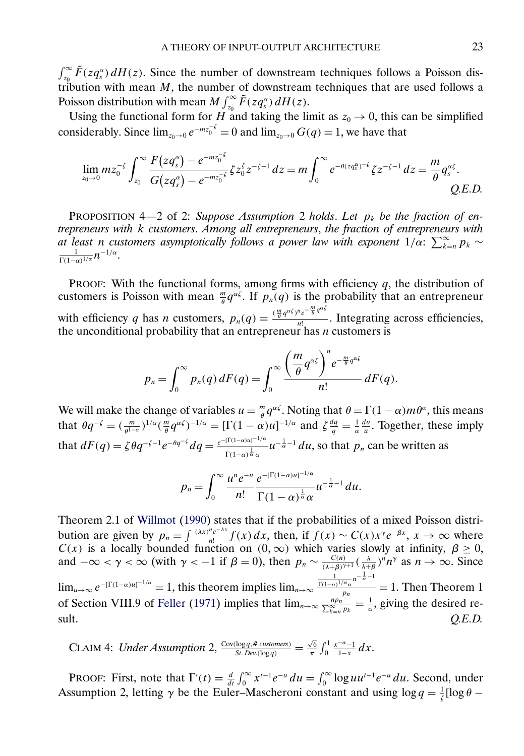<span id="page-22-0"></span> $\int_{z_0}^{\infty} \tilde{F}(z q_s^{\alpha}) dH(z)$ . Since the number of downstream techniques follows a Poisson distribution with mean  $M$ , the number of downstream techniques that are used follows a Poisson distribution with mean  $M \int_{z_0}^{\infty} \tilde{F}(z q_s^{\alpha}) dH(z)$ .

Using the functional form for H and taking the limit as  $z_0 \rightarrow 0$ , this can be simplified considerably. Since  $\lim_{z_0 \to 0} e^{-m z_0^{-\zeta}} = 0$  and  $\lim_{z_0 \to 0} G(q) = 1$ , we have that

$$
\lim_{z_0 \to 0} m z_0^{-\zeta} \int_{z_0}^{\infty} \frac{F(z q_s^{\alpha}) - e^{-m z_0^{-\zeta}}}{G(z q_s^{\alpha}) - e^{-m z_0^{-\zeta}}} \zeta z_0^{\zeta} z^{-\zeta - 1} dz = m \int_0^{\infty} e^{-\theta (z q_s^{\alpha})^{-\zeta}} \zeta z^{-\zeta - 1} dz = \frac{m}{\theta} q_s^{\alpha \zeta}.
$$
Q.E.D.

PROPOSITION 4–2 of 2: Suppose Assumption 2 holds. Let  $p_k$  be the fraction of en*trepreneurs with* k *customers*. *Among all entrepreneurs*, *the fraction of entrepreneurs with at least* n *customers asymptotically follows a power law with exponent*  $1/\alpha$ :  $\sum_{k=n}^{\infty} p_k \sim$  $\frac{1}{\Gamma(1-\alpha)^{1/\alpha}} n^{-1/\alpha}.$ 

PROOF: With the functional forms, among firms with efficiency  $q$ , the distribution of customers is Poisson with mean  $\frac{m}{\theta}q^{\alpha\zeta}$ . If  $p_n(q)$  is the probability that an entrepreneur with efficiency q has n customers,  $p_n(q) = \frac{(\frac{m}{\theta}q^{\alpha\zeta})^n e^{-\frac{m}{\theta}q^{\alpha\zeta}}}{n!}$ . Integrating across efficiencies, the unconditional probability that an entrepreneur has  $n$  customers is

$$
p_n = \int_0^\infty p_n(q) dF(q) = \int_0^\infty \frac{\left(\frac{m}{\theta}q^{\alpha\zeta}\right)^n e^{-\frac{m}{\theta}q^{\alpha\zeta}}}{n!} dF(q).
$$

We will make the change of variables  $u = \frac{m}{\theta} q^{\alpha \zeta}$ . Noting that  $\theta = \Gamma(1 - \alpha)m\theta^{\alpha}$ , this means that  $\theta q^{-\zeta} = \left(\frac{m}{\theta^{1-\alpha}}\right)^{1/\alpha} \left(\frac{m}{\theta}q^{\alpha\zeta}\right)^{-1/\alpha} = \left[\Gamma(1-\alpha)u\right]^{-1/\alpha}$  and  $\zeta \frac{dq}{q} = \frac{1}{\alpha} \frac{du}{u}$ . Together, these imply that  $dF(q) = \zeta \theta q^{-\zeta-1} e^{-\theta q^{-\zeta}} dq = \frac{e^{-[\Gamma(1-\alpha)u]^{-1/\alpha}}}{\zeta-1}$  $\frac{f^{[\tau(1-\alpha)u]^{-1/\alpha}}}{\Gamma(1-\alpha)^{\frac{1}{\alpha}}\alpha}u^{-\frac{1}{\alpha}-1}du$ , so that  $p_n$  can be written as

$$
p_n = \int_0^\infty \frac{u^n e^{-u}}{n!} \frac{e^{-[\Gamma(1-\alpha)u]^{-1/\alpha}}}{\Gamma(1-\alpha)^{\frac{1}{\alpha}} \alpha} u^{-\frac{1}{\alpha}-1} du.
$$

Theorem 2.1 of [Willmot](#page-37-0) [\(1990\)](#page-37-0) states that if the probabilities of a mixed Poisson distribution are given by  $p_n = \int \frac{(\lambda x)^n e^{-\lambda x}}{n!} f(x) dx$ , then, if  $f(x) \sim C(x) x^{\gamma} e^{-\beta x}$ ,  $x \to \infty$  where  $C(x)$  is a locally bounded function on  $(0, \infty)$  which varies slowly at infinity,  $\beta \geq 0$ , and  $-\infty < \gamma < \infty$  (with  $\gamma < -1$  if  $\beta = 0$ ), then  $p_n \sim \frac{C(n)}{(\lambda + \beta)^{\gamma+1}} (\frac{\lambda}{\lambda + \beta})^n n^{\gamma}$  as  $n \to \infty$ . Since  $\lim_{u\to\infty}e^{-[\Gamma(1-\alpha)u]^{-1/\alpha}}=1$ , this theorem implies  $\lim_{n\to\infty}\frac{\frac{1}{\Gamma(1-\alpha)^{1/\alpha}\alpha}n^{-\frac{1}{\alpha}-1}}{p_n}=1$ . Then Theorem 1 of Section VIII.9 of [Feller](#page-37-0) [\(1971\)](#page-37-0) implies that  $\lim_{n\to\infty} \frac{np_n}{\sum_{k=n}^{\infty} p_k} = \frac{1}{\alpha}$ , giving the desired result. *Q.E.D.*

CLAIM 4: *Under Assumption* 2,  $\frac{\text{Cov}(\log q, \# \text{ customers})}{S_t.Dev(\log q)} = \frac{\sqrt{6}}{\pi} \int_0^1 \frac{x^{-\alpha}-1}{1-x} dx$ .

PROOF: First, note that  $\Gamma'(t) = \frac{d}{dt} \int_0^\infty x^{t-1} e^{-u} du = \int_0^\infty \log u u^{t-1} e^{-u} du$ . Second, under Assumption 2, letting  $\gamma$  be the Euler–Mascheroni constant and using  $\log q = \frac{1}{\zeta} [\log \theta -$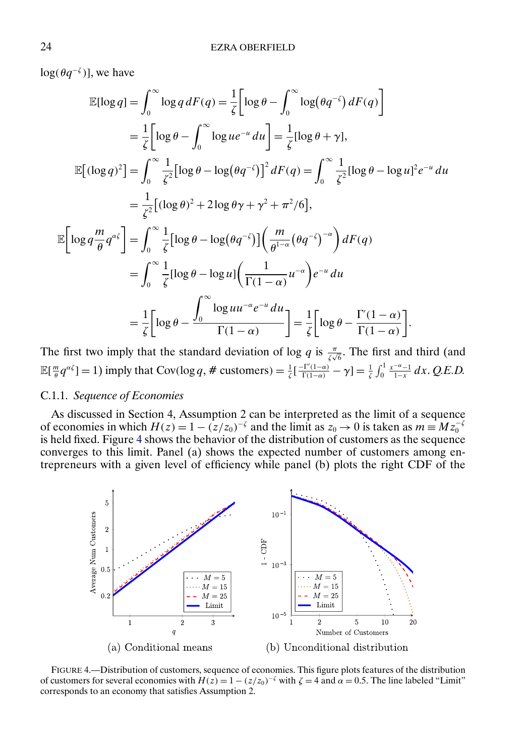$log(\theta q^{-\zeta})$ ], we have

$$
\mathbb{E}[\log q] = \int_0^\infty \log q \, dF(q) = \frac{1}{\zeta} \left[ \log \theta - \int_0^\infty \log (\theta q^{-\zeta}) \, dF(q) \right]
$$
  
\n
$$
= \frac{1}{\zeta} \left[ \log \theta - \int_0^\infty \log u e^{-u} \, du \right] = \frac{1}{\zeta} [\log \theta + \gamma],
$$
  
\n
$$
\mathbb{E}[(\log q)^2] = \int_0^\infty \frac{1}{\zeta^2} [\log \theta - \log (\theta q^{-\zeta})]^2 \, dF(q) = \int_0^\infty \frac{1}{\zeta^2} [\log \theta - \log u]^2 e^{-u} \, du
$$
  
\n
$$
= \frac{1}{\zeta^2} [(\log \theta)^2 + 2 \log \theta \gamma + \gamma^2 + \pi^2/6],
$$
  
\n
$$
\mathbb{E} \left[ \log q \frac{m}{\theta} q^{\alpha \zeta} \right] = \int_0^\infty \frac{1}{\zeta} [\log \theta - \log (\theta q^{-\zeta})] \left( \frac{m}{\theta^{1-\alpha}} (\theta q^{-\zeta})^{-\alpha} \right) dF(q)
$$
  
\n
$$
= \int_0^\infty \frac{1}{\zeta} [\log \theta - \log u] \left( \frac{1}{\Gamma(1-\alpha)} u^{-\alpha} \right) e^{-u} du
$$
  
\n
$$
= \frac{1}{\zeta} \left[ \log \theta - \frac{\int_0^\infty \log u u^{-\alpha} e^{-u} du}{\Gamma(1-\alpha)} \right] = \frac{1}{\zeta} \left[ \log \theta - \frac{\Gamma'(1-\alpha)}{\Gamma(1-\alpha)} \right].
$$

The first two imply that the standard deviation of log q is  $\frac{\pi}{\zeta\sqrt{6}}$ . The first and third (and  $\mathbb{E}[\frac{m}{\theta}q^{\alpha\xi}] = 1$ ) imply that Cov(log q, # customers) =  $\frac{1}{\xi}[\frac{-\Gamma'(1-\alpha)}{\Gamma(1-\alpha)} - \gamma] = \frac{1}{\zeta} \int_0^1 \frac{x^{-\alpha}-1}{1-x} dx$ . *Q.E.D.* 

## C.1.1. *Sequence of Economies*

As discussed in Section 4, Assumption 2 can be interpreted as the limit of a sequence of economies in which  $H(z) = 1 - (z/z_0)^{-z}$  and the limit as  $z_0 \to 0$  is taken as  $m \equiv Mz_0^{-z}$ is held fixed. Figure 4 shows the behavior of the distribution of customers as the sequence converges to this limit. Panel (a) shows the expected number of customers among entrepreneurs with a given level of efficiency while panel (b) plots the right CDF of the



FIGURE 4.—Distribution of customers, sequence of economies. This figure plots features of the distribution of customers for several economies with  $H(z) = 1 - (z/z_0)^{-\zeta}$  with  $\zeta = 4$  and  $\alpha = 0.5$ . The line labeled "Limit" corresponds to an economy that satisfies Assumption 2.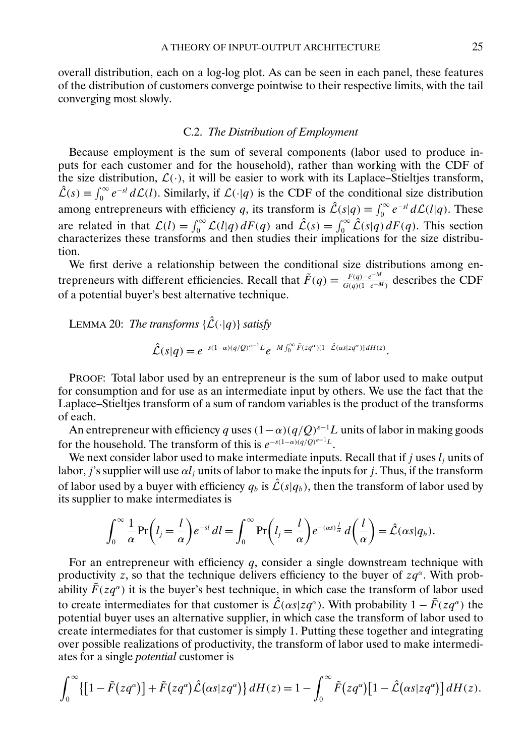overall distribution, each on a log-log plot. As can be seen in each panel, these features of the distribution of customers converge pointwise to their respective limits, with the tail converging most slowly.

## C.2. *The Distribution of Employment*

Because employment is the sum of several components (labor used to produce inputs for each customer and for the household), rather than working with the CDF of the size distribution,  $\mathcal{L}(\cdot)$ , it will be easier to work with its Laplace–Stieltjes transform,  $\hat{\mathcal{L}}(s) \equiv \int_0^\infty e^{-st} d\mathcal{L}(l)$ . Similarly, if  $\mathcal{L}(\cdot|q)$  is the CDF of the conditional size distribution among entrepreneurs with efficiency q, its transform is  $\hat{\mathcal{L}}(s|q) \equiv \int_0^\infty e^{-st} d\mathcal{L}(l|q)$ . These are related in that  $\mathcal{L}(l) = \int_0^\infty \mathcal{L}(l|q) dF(q)$  and  $\hat{\mathcal{L}}(s) = \int_0^\infty \hat{\mathcal{L}}(s|q) dF(q)$ . This section characterizes these transforms and then studies their implications for the size distribution.

We first derive a relationship between the conditional size distributions among entrepreneurs with different efficiencies. Recall that  $\tilde{F}(q) \equiv \frac{F(q) - e^{-M}}{G(q)(1 - e^{-M})}$  describes the CDF of a potential buyer's best alternative technique.

LEMMA 20: *The transforms*  $\{\hat{\mathcal{L}}(\cdot|q)\}\$  *satisfy* 

$$
\hat{\mathcal{L}}(s|q) = e^{-s(1-\alpha)(q/Q)^{\varepsilon-1}L} e^{-M\int_0^\infty \tilde{F}(zq^{\alpha})[1-\hat{\mathcal{L}}(\alpha s|zq^{\alpha})]dH(z)}.
$$

PROOF: Total labor used by an entrepreneur is the sum of labor used to make output for consumption and for use as an intermediate input by others. We use the fact that the Laplace–Stieltjes transform of a sum of random variables is the product of the transforms of each.

An entrepreneur with efficiency q uses  $(1-\alpha)(q/Q)^{e-1}L$  units of labor in making goods for the household. The transform of this is  $e^{-s(1-\alpha)(q/Q)^{\varepsilon-1}L}$ .

We next consider labor used to make intermediate inputs. Recall that if j uses  $l_i$  units of labor, j's supplier will use  $\alpha l_i$  units of labor to make the inputs for j. Thus, if the transform of labor used by a buyer with efficiency  $q_b$  is  $\hat{\mathcal{L}}(s|q_b)$ , then the transform of labor used by its supplier to make intermediates is

$$
\int_0^\infty \frac{1}{\alpha} \Pr\bigg(l_j = \frac{l}{\alpha}\bigg) e^{-sl} \, dl = \int_0^\infty \Pr\bigg(l_j = \frac{l}{\alpha}\bigg) e^{-(\alpha s)\frac{l}{\alpha}} \, d\bigg(\frac{l}{\alpha}\bigg) = \hat{\mathcal{L}}(\alpha s | q_b).
$$

For an entrepreneur with efficiency  $q$ , consider a single downstream technique with productivity z, so that the technique delivers efficiency to the buyer of  $zq^{\alpha}$ . With probability  $\tilde{F}(zq^{\alpha})$  it is the buyer's best technique, in which case the transform of labor used to create intermediates for that customer is  $\hat{\mathcal{L}}(\alpha s | z q^{\alpha})$ . With probability  $1 - \tilde{F}(z q^{\alpha})$  the potential buyer uses an alternative supplier, in which case the transform of labor used to create intermediates for that customer is simply 1. Putting these together and integrating over possible realizations of productivity, the transform of labor used to make intermediates for a single *potential* customer is

$$
\int_0^\infty \left\{ \left[1 - \tilde{F}(zq^{\alpha})\right] + \tilde{F}(zq^{\alpha})\hat{\mathcal{L}}(\alpha s|zq^{\alpha})\right\}dH(z) = 1 - \int_0^\infty \tilde{F}(zq^{\alpha})\left[1 - \hat{\mathcal{L}}(\alpha s|zq^{\alpha})\right]dH(z).
$$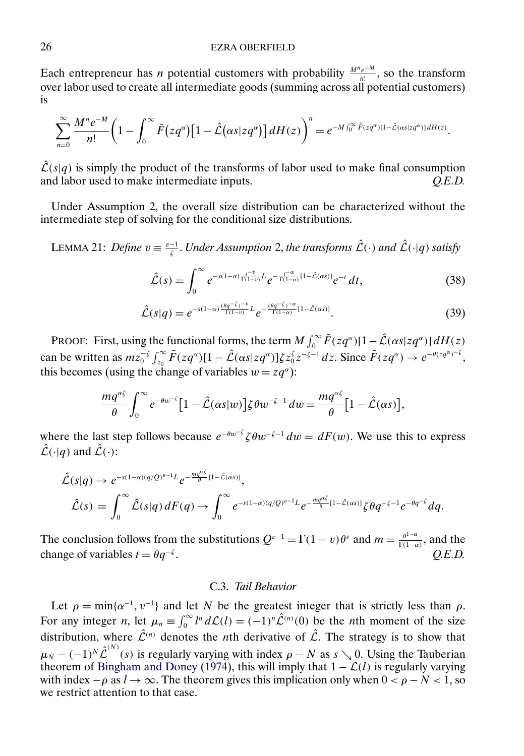<span id="page-25-0"></span>Each entrepreneur has *n* potential customers with probability  $\frac{M^n e^{-M}}{n!}$ , so the transform over labor used to create all intermediate goods (summing across all potential customers) is

$$
\sum_{n=0}^{\infty} \frac{M^n e^{-M}}{n!} \left(1 - \int_0^{\infty} \tilde{F}(z q^{\alpha}) \left[1 - \hat{\mathcal{L}}(\alpha s | z q^{\alpha})\right] dH(z)\right)^n = e^{-M \int_0^{\infty} \tilde{F}(z q^{\alpha}) [1 - \hat{\mathcal{L}}(\alpha s | z q^{\alpha})] dH(z)}.
$$

 $\hat{\mathcal{L}}(s|q)$  is simply the product of the transforms of labor used to make final consumption and labor used to make intermediate inputs. Q.E.D. and labor used to make intermediate inputs.

Under Assumption 2, the overall size distribution can be characterized without the intermediate step of solving for the conditional size distributions.

LEMMA 21: *Define*  $v \equiv \frac{\varepsilon - 1}{\zeta}$ . *Under Assumption* 2, *the transforms*  $\hat{\mathcal{L}}(\cdot)$  *and*  $\hat{\mathcal{L}}(\cdot|q)$  *satisfy* 

$$
\hat{\mathcal{L}}(s) = \int_0^\infty e^{-s(1-\alpha)\frac{t^{-\upsilon}}{\Gamma(1-\upsilon)}} e^{-\frac{t^{-\alpha}}{\Gamma(1-\alpha)}[1-\hat{\mathcal{L}}(\alpha s)]} e^{-t} dt,
$$
\n(38)

$$
\hat{\mathcal{L}}(s|q) = e^{-s(1-\alpha)\frac{(\theta q^{-\zeta})^{-v}}{\Gamma(1-v)}} t} e^{-\frac{(\theta q^{-\zeta})^{-\alpha}}{\Gamma(1-\alpha)}[1-\hat{\mathcal{L}}(\alpha s)]}.
$$
\n(39)

PROOF: First, using the functional forms, the term  $M \int_0^\infty \tilde{F}(z q^{\alpha}) [1 - \hat{\mathcal{L}}(\alpha s | z q^{\alpha})] dH(z)$ can be written as  $m z_0^{-\zeta} \int_{z_0}^{\infty} \tilde{F}(z q^{\alpha}) [1 - \hat{\mathcal{L}}(\alpha s | z q^{\alpha})] \zeta z_0^{\zeta} z^{-\zeta - 1} dz$ . Since  $\tilde{F}(z q^{\alpha}) \to e^{-\theta (z q^{\alpha}) - \zeta}$ , this becomes (using the change of variables  $w = zq^{\alpha}$ ):

$$
\frac{mq^{\alpha\zeta}}{\theta}\int_0^\infty e^{-\theta w^{-\zeta}}\big[1-\hat{\mathcal{L}}(\alpha s|w)\big]\zeta \theta w^{-\zeta-1}\,dw=\frac{mq^{\alpha\zeta}}{\theta}\big[1-\hat{\mathcal{L}}(\alpha s)\big],
$$

where the last step follows because  $e^{-\theta w^{-\zeta}} \zeta \theta w^{-\zeta-1} dw = dF(w)$ . We use this to express  $\hat{\mathcal{L}}(\cdot|q)$  and  $\hat{\mathcal{L}}(\cdot)$ :

$$
\hat{\mathcal{L}}(s|q) \to e^{-s(1-\alpha)(q/Q)^{\varepsilon-1}L} e^{-\frac{mq\alpha\xi}{\theta}[1-\hat{\mathcal{L}}(\alpha s)]},
$$
\n
$$
\hat{\mathcal{L}}(s) = \int_0^\infty \hat{\mathcal{L}}(s|q) dF(q) \to \int_0^\infty e^{-s(1-\alpha)(q/Q)^{\varepsilon-1}L} e^{-\frac{mq\alpha\xi}{\theta}[1-\hat{\mathcal{L}}(\alpha s)]} \zeta \theta q^{-\zeta-1} e^{-\theta q^{-\zeta}} dq.
$$

The conclusion follows from the substitutions  $Q^{e-1} = \Gamma(1-v)\theta^v$  and  $m = \frac{\theta^{1-\alpha}}{\Gamma(1-\alpha)}$ , and the change of variables  $t = \theta q^{-\zeta}$ . *Q.E.D. Q.E.D.* 

## C.3. *Tail Behavior*

Let  $\rho = \min\{\alpha^{-1}, v^{-1}\}\$ and let N be the greatest integer that is strictly less than  $\rho$ . For any integer *n*, let  $\mu_n \equiv \int_0^\infty l^n d\mathcal{L}(l) = (-1)^n \hat{\mathcal{L}}^{(n)}(0)$  be the *n*th moment of the size distribution, where  $\hat{\mathcal{L}}^{(n)}$  denotes the *n*th derivative of  $\hat{\mathcal{L}}$ . The strategy is to show that  $\mu_N - (-1)^N \hat{\mathcal{L}}^{(N)}(s)$  is regularly varying with index  $\rho - N$  as  $s \searrow 0$ . Using the Tauberian theorem of [Bingham and Doney](#page-37-0) [\(1974\)](#page-37-0), this will imply that  $1 - \mathcal{L}(l)$  is regularly varying with index  $-\rho$  as  $l \to \infty$ . The theorem gives this implication only when  $0 < \rho - N < 1$ , so we restrict attention to that case.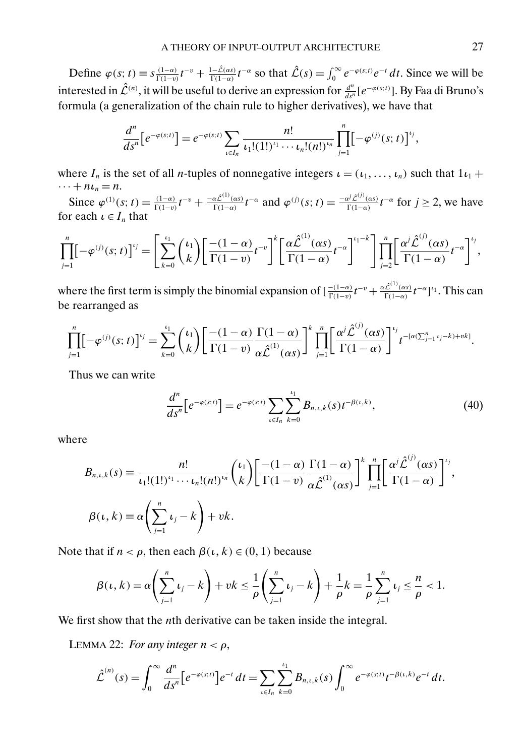<span id="page-26-0"></span>Define  $\varphi(s; t) \equiv s \frac{(1-\alpha)}{\Gamma(1-v)} t^{-v} + \frac{1-\hat{\mathcal{L}}(\alpha s)}{\Gamma(1-\alpha)} t^{-\alpha}$  so that  $\hat{\mathcal{L}}(s) = \int_0^\infty e^{-\varphi(s;t)} e^{-t} dt$ . Since we will be interested in  $\hat{\mathcal{L}}^{(n)}$ , it will be useful to derive an expression for  $\frac{d^n}{ds^n}[e^{-\varphi(s,t)}]$ . By Faa di Bruno's formula (a generalization of the chain rule to higher derivatives), we have that

$$
\frac{d^n}{ds^n}\big[e^{-\varphi(s;t)}\big]=e^{-\varphi(s;t)}\sum_{\iota\in I_n}\frac{n!}{\iota_1!(1!)^{\iota_1}\cdots\iota_n!(n!)^{\iota_n}}\prod_{j=1}^n\big[-\varphi^{(j)}(s;t)\big]^{i_j},
$$

where  $I_n$  is the set of all *n*-tuples of nonnegative integers  $\iota = (\iota_1, \ldots, \iota_n)$  such that  $1\iota_1 +$  $\cdots + n \iota_n = n.$ 

Since  $\varphi^{(1)}(s;t) = \frac{(1-\alpha)}{\Gamma(1-v)} t^{-v} + \frac{-\alpha \hat{\mathcal{L}}^{(1)}(\alpha s)}{\Gamma(1-\alpha)} t^{-\alpha}$  and  $\varphi^{(j)}(s;t) = \frac{-\alpha' \hat{\mathcal{L}}^{(j)}(\alpha s)}{\Gamma(1-\alpha)} t^{-\alpha}$  for  $j \ge 2$ , we have for each  $\iota \in I_n$  that

$$
\prod_{j=1}^n\left[-\varphi^{(j)}(s;t)\right]^{i_j}=\left[\sum_{k=0}^{i_1}\binom{i_1}{k}\left[\frac{-(1-\alpha)}{\Gamma(1-\nu)}t^{-\nu}\right]^k\left[\frac{\alpha\hat{\mathcal{L}}^{(1)}(\alpha s)}{\Gamma(1-\alpha)}t^{-\alpha}\right]^{i_1-k}\right]\prod_{j=2}^n\left[\frac{\alpha^j\hat{\mathcal{L}}^{(j)}(\alpha s)}{\Gamma(1-\alpha)}t^{-\alpha}\right]^{i_j},
$$

where the first term is simply the binomial expansion of  $\left[\frac{-(1-\alpha)}{\Gamma(1-v)}t^{-\nu}+\frac{\alpha\hat{\mathcal{L}}^{(1)}(\alpha s)}{\Gamma(1-\alpha)}t^{-\alpha}\right]^{t_1}$ . This can be rearranged as

$$
\prod_{j=1}^n \left[ -\varphi^{(j)}(s;t) \right]^{t_j} = \sum_{k=0}^{t_1} {t_1 \choose k} \left[ \frac{-(1-\alpha)}{\Gamma(1-\nu)} \frac{\Gamma(1-\alpha)}{\alpha \hat{\mathcal{L}}^{(1)}(\alpha s)} \right]^k \prod_{j=1}^n \left[ \frac{\alpha^j \hat{\mathcal{L}}^{(j)}(\alpha s)}{\Gamma(1-\alpha)} \right]^{t_j} t^{-(\alpha(\sum_{j=1}^n t_j - k) + vk)}.
$$

Thus we can write

$$
\frac{d^n}{ds^n}\big[e^{-\varphi(s;t)}\big] = e^{-\varphi(s;t)}\sum_{\iota \in I_n}\sum_{k=0}^{\iota_1}B_{n,\iota,k}(s)t^{-\beta(\iota,k)},\tag{40}
$$

where

$$
B_{n,\iota,k}(s) \equiv \frac{n!}{\iota_1!(1!)^{\iota_1}\cdots\iota_n!(n!)^{\iota_n}} \binom{\iota_1}{k} \left[\frac{-(1-\alpha)}{\Gamma(1-\nu)}\frac{\Gamma(1-\alpha)}{\alpha \hat{\mathcal{L}}^{(1)}(\alpha s)}\right]^k \prod_{j=1}^n \left[\frac{\alpha^j \hat{\mathcal{L}}^{(j)}(\alpha s)}{\Gamma(1-\alpha)}\right]^{\iota_j},
$$
  

$$
\beta(\iota,k) \equiv \alpha \left(\sum_{j=1}^n \iota_j - k\right) + vk.
$$

Note that if  $n < \rho$ , then each  $\beta(\iota, k) \in (0, 1)$  because

$$
\beta(\iota, k) = \alpha \left( \sum_{j=1}^n \iota_j - k \right) + \nu k \le \frac{1}{\rho} \left( \sum_{j=1}^n \iota_j - k \right) + \frac{1}{\rho} k = \frac{1}{\rho} \sum_{j=1}^n \iota_j \le \frac{n}{\rho} < 1.
$$

We first show that the *n*th derivative can be taken inside the integral.

LEMMA 22: *For any integer*  $n < \rho$ ,

$$
\hat{\mathcal{L}}^{(n)}(s) = \int_0^\infty \frac{d^n}{ds^n} \big[ e^{-\varphi(s;t)} \big] e^{-t} \, dt = \sum_{\iota \in I_n} \sum_{k=0}^{t_1} B_{n,\iota,k}(s) \int_0^\infty e^{-\varphi(s;t)} t^{-\beta(\iota,k)} e^{-t} \, dt.
$$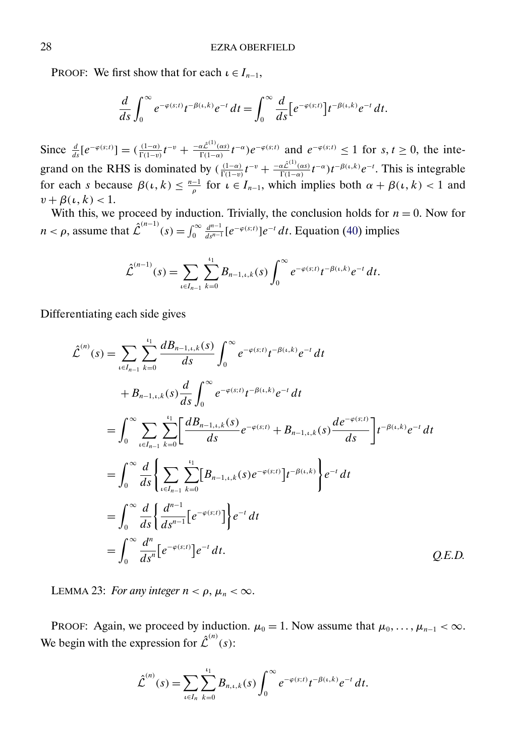PROOF: We first show that for each  $\iota \in I_{n-1}$ ,

$$
\frac{d}{ds}\int_0^\infty e^{-\varphi(s;t)}t^{-\beta(t,k)}e^{-t}\,dt=\int_0^\infty \frac{d}{ds}\big[e^{-\varphi(s;t)}\big]t^{-\beta(t,k)}e^{-t}\,dt.
$$

Since  $\frac{d}{ds}[e^{-\varphi(s;t)}] = (\frac{(1-\alpha)}{\Gamma(1-v)}t^{-\nu} + \frac{-\alpha\hat{\mathcal{L}}^{(1)}(\alpha s)}{\Gamma(1-\alpha)}t^{-\alpha})e^{-\varphi(s;t)}$  and  $e^{-\varphi(s;t)} \le 1$  for  $s, t \ge 0$ , the integrand on the RHS is dominated by  $\left(\frac{(1-\alpha)}{\Gamma(1-v)}t^{-v} + \frac{-\alpha\hat{\mathcal{L}}^{(1)}(\alpha s)}{\Gamma(1-\alpha)}t^{-\alpha}\right)t^{-\beta(\iota,k)}e^{-t}$ . This is integrable for each s because  $\beta(\iota, k) \leq \frac{n-1}{\rho}$  for  $\iota \in I_{n-1}$ , which implies both  $\alpha + \beta(\iota, k) < 1$  and  $v + \beta(\iota, k) < 1.$ 

With this, we proceed by induction. Trivially, the conclusion holds for  $n = 0$ . Now for *n* < *p*, assume that  $\hat{\mathcal{L}}^{(n-1)}(s) = \int_0^\infty \frac{d^{n-1}}{ds^{n-1}} [e^{-\varphi(s;t)}] e^{-t} dt$ . Equation [\(40\)](#page-26-0) implies

$$
\hat{\mathcal{L}}^{(n-1)}(s) = \sum_{\iota \in I_{n-1}} \sum_{k=0}^{\iota_1} B_{n-1,\iota,k}(s) \int_0^\infty e^{-\varphi(s;t)} t^{-\beta(\iota,k)} e^{-t} dt.
$$

Differentiating each side gives

$$
\hat{\mathcal{L}}^{(n)}(s) = \sum_{\iota \in I_{n-1}} \sum_{k=0}^{\iota_1} \frac{dB_{n-1,\iota,k}(s)}{ds} \int_0^{\infty} e^{-\varphi(s;t)} t^{-\beta(\iota,k)} e^{-t} dt \n+ B_{n-1,\iota,k}(s) \frac{d}{ds} \int_0^{\infty} e^{-\varphi(s;t)} t^{-\beta(\iota,k)} e^{-t} dt \n= \int_0^{\infty} \sum_{\iota \in I_{n-1}} \sum_{k=0}^{\iota_1} \left[ \frac{dB_{n-1,\iota,k}(s)}{ds} e^{-\varphi(s;t)} + B_{n-1,\iota,k}(s) \frac{de^{-\varphi(s;t)}}{ds} \right] t^{-\beta(\iota,k)} e^{-t} dt \n= \int_0^{\infty} \frac{d}{ds} \left\{ \sum_{\iota \in I_{n-1}} \sum_{k=0}^{\iota_1} [B_{n-1,\iota,k}(s) e^{-\varphi(s;t)}] t^{-\beta(\iota,k)} \right\} e^{-t} dt \n= \int_0^{\infty} \frac{d}{ds} \left\{ \frac{d^{n-1}}{ds^{n-1}} [e^{-\varphi(s;t)}] \right\} e^{-t} dt \n= \int_0^{\infty} \frac{d^n}{ds^n} [e^{-\varphi(s;t)}] e^{-t} dt.
$$
\nQ.E.D.

LEMMA 23: *For any integer*  $n < \rho$ ,  $\mu_n < \infty$ .

PROOF: Again, we proceed by induction.  $\mu_0 = 1$ . Now assume that  $\mu_0, \ldots, \mu_{n-1} < \infty$ . We begin with the expression for  $\hat{\mathcal{L}}^{(n)}(s)$ :

$$
\hat{\mathcal{L}}^{(n)}(s) = \sum_{\iota \in I_n} \sum_{k=0}^{t_1} B_{n,\iota,k}(s) \int_0^\infty e^{-\varphi(s;t)} t^{-\beta(\iota,k)} e^{-t} dt.
$$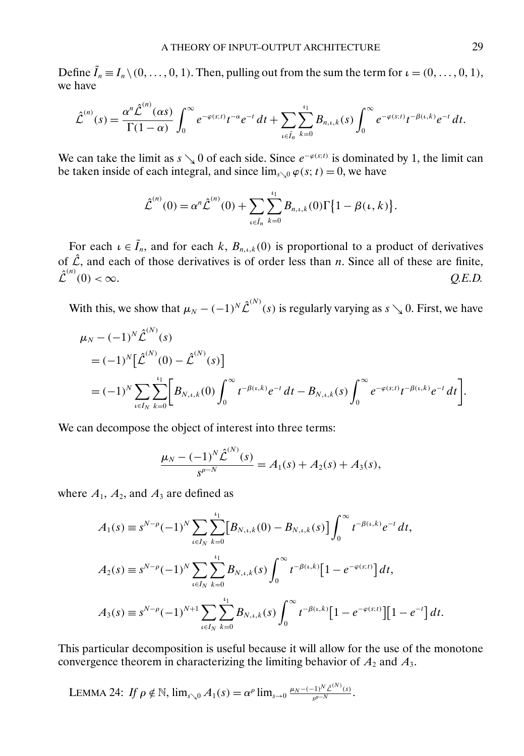<span id="page-28-0"></span>Define  $\tilde{I}_n \equiv I_n \setminus (0, \ldots, 0, 1)$ . Then, pulling out from the sum the term for  $\iota = (0, \ldots, 0, 1)$ , we have

$$
\hat{\mathcal{L}}^{(n)}(s) = \frac{\alpha^n \hat{\mathcal{L}}^{(n)}(\alpha s)}{\Gamma(1-\alpha)} \int_0^\infty e^{-\varphi(s,t)} t^{-\alpha} e^{-t} dt + \sum_{\iota \in \tilde{I}_n} \sum_{k=0}^{\iota_1} B_{n,\iota,k}(s) \int_0^\infty e^{-\varphi(s,t)} t^{-\beta(\iota,k)} e^{-t} dt.
$$

We can take the limit as  $s \searrow 0$  of each side. Since  $e^{-\varphi(s,t)}$  is dominated by 1, the limit can be taken inside of each integral, and since  $\lim_{s\to 0} \varphi(s; t) = 0$ , we have

$$
\hat{\mathcal{L}}^{(n)}(0) = \alpha^n \hat{\mathcal{L}}^{(n)}(0) + \sum_{\iota \in \tilde{I}_n} \sum_{k=0}^{\iota_1} B_{n,\iota,k}(0) \Gamma\big\{1 - \beta(\iota,k)\big\}.
$$

For each  $\iota \in \tilde{I}_n$ , and for each k,  $B_{n,\iota,k}(0)$  is proportional to a product of derivatives of  $\hat{\mathcal{L}}$ , and each of those derivatives is of order less than *n*. Since all of these are finite,  $\mathcal{\hat{L}}^{(n)}$  $(0) < \infty$ .  $Q.E.D.$ 

With this, we show that  $\mu_N - (-1)^N \hat{\mathcal{L}}^{(N)}(s)$  is regularly varying as  $s \searrow 0$ . First, we have

$$
\mu_N - (-1)^N \hat{\mathcal{L}}^{(N)}(s)
$$
  
=  $(-1)^N \left[ \hat{\mathcal{L}}^{(N)}(0) - \hat{\mathcal{L}}^{(N)}(s) \right]$   
=  $(-1)^N \sum_{\iota \in I_N} \sum_{k=0}^{t_1} \left[ B_{N,\iota,k}(0) \int_0^\infty t^{-\beta(\iota,k)} e^{-t} dt - B_{N,\iota,k}(s) \int_0^\infty e^{-\varphi(s;t)} t^{-\beta(\iota,k)} e^{-t} dt \right].$ 

We can decompose the object of interest into three terms:

$$
\frac{\mu_N - (-1)^N \hat{\mathcal{L}}^{(N)}(s)}{s^{\rho-N}} = A_1(s) + A_2(s) + A_3(s),
$$

where  $A_1$ ,  $A_2$ , and  $A_3$  are defined as

$$
A_1(s) \equiv s^{N-\rho}(-1)^N \sum_{\iota \in I_N} \sum_{k=0}^{t_1} \left[ B_{N,\iota,k}(0) - B_{N,\iota,k}(s) \right] \int_0^\infty t^{-\beta(\iota,k)} e^{-t} dt,
$$
  

$$
A_2(s) \equiv s^{N-\rho}(-1)^N \sum_{\iota \in I_N} \sum_{k=0}^{t_1} B_{N,\iota,k}(s) \int_0^\infty t^{-\beta(\iota,k)} \left[ 1 - e^{-\varphi(s,t)} \right] dt,
$$
  

$$
A_3(s) \equiv s^{N-\rho}(-1)^{N+1} \sum_{\iota \in I_N} \sum_{k=0}^{t_1} B_{N,\iota,k}(s) \int_0^\infty t^{-\beta(\iota,k)} \left[ 1 - e^{-\varphi(s,t)} \right] \left[ 1 - e^{-t} \right] dt.
$$

This particular decomposition is useful because it will allow for the use of the monotone convergence theorem in characterizing the limiting behavior of  $A_2$  and  $A_3$ .

LEMMA 24: *If*  $\rho \notin \mathbb{N}$ ,  $\lim_{s \searrow 0} A_1(s) = \alpha^{\rho} \lim_{s \to 0} \frac{\mu_N - (-1)^N \hat{\mathcal{L}}^{(N)}(s)}{s^{\rho-N}}.$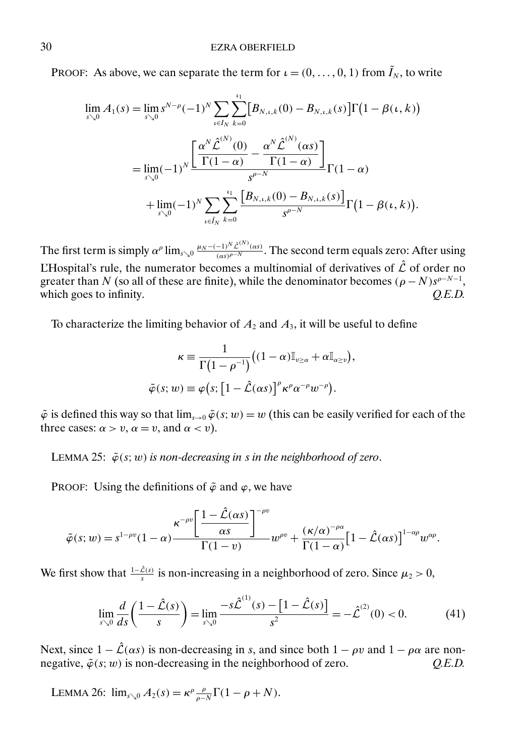<span id="page-29-0"></span>PROOF: As above, we can separate the term for  $\iota = (0, \ldots, 0, 1)$  from  $\tilde{I}_N$ , to write

$$
\lim_{s \searrow 0} A_1(s) = \lim_{s \searrow 0} s^{N-\rho} (-1)^N \sum_{\iota \in I_N} \sum_{k=0}^{t_1} [B_{N,\iota,k}(0) - B_{N,\iota,k}(s)] \Gamma(1 - \beta(\iota, k))
$$
  

$$
= \lim_{s \searrow 0} (-1)^N \frac{\left[ \frac{\alpha^N \hat{\mathcal{L}}^{(N)}(0)}{\Gamma(1 - \alpha)} - \frac{\alpha^N \hat{\mathcal{L}}^{(N)}(\alpha s)}{\Gamma(1 - \alpha)} \right]}{s^{\rho - N}} \Gamma(1 - \alpha)
$$
  

$$
+ \lim_{s \searrow 0} (-1)^N \sum_{\iota \in I_N} \sum_{k=0}^{t_1} \frac{\left[ B_{N,\iota,k}(0) - B_{N,\iota,k}(s) \right]}{s^{\rho - N}} \Gamma(1 - \beta(\iota, k)).
$$

The first term is simply  $\alpha^{\rho}$  lim<sub>s</sub><sub>\0</sub>  $\frac{\mu_N - (-1)^N \hat{\mathcal{L}}^{(N)}(\alpha_S)}{(\alpha_S)^{\rho-N}}$ . The second term equals zero: After using L'Hospital's rule, the numerator becomes a multinomial of derivatives of  $\hat{\mathcal{L}}$  of order no greater than N (so all of these are finite), while the denominator becomes  $(\rho - N)s^{\rho - N-1}$ , which goes to infinity.  $Q.E.D.$ 

To characterize the limiting behavior of  $A_2$  and  $A_3$ , it will be useful to define

$$
\kappa \equiv \frac{1}{\Gamma(1 - \rho^{-1})} \big( (1 - \alpha) \mathbb{I}_{v \ge \alpha} + \alpha \mathbb{I}_{\alpha \ge v} \big),
$$
  

$$
\tilde{\varphi}(s; w) \equiv \varphi(s; [1 - \hat{\mathcal{L}}(\alpha s)]^{\rho} \kappa^{\rho} \alpha^{-\rho} w^{-\rho}).
$$

 $\tilde{\varphi}$  is defined this way so that  $\lim_{s\to 0} \tilde{\varphi}(s; w) = w$  (this can be easily verified for each of the three cases:  $\alpha > v$ ,  $\alpha = v$ , and  $\alpha < v$ ).

LEMMA 25:  $\tilde{\varphi}(s; w)$  *is non-decreasing in s in the neighborhood of zero.* 

PROOF: Using the definitions of  $\tilde{\varphi}$  and  $\varphi$ , we have

$$
\tilde{\varphi}(s; w) = s^{1-\rho v} (1-\alpha) \frac{\kappa^{-\rho v} \left[ \frac{1-\hat{\mathcal{L}}(\alpha s)}{\alpha s} \right]^{-\rho v}}{\Gamma(1-v)} w^{\rho v} + \frac{(\kappa/\alpha)^{-\rho \alpha}}{\Gamma(1-\alpha)} [1-\hat{\mathcal{L}}(\alpha s)]^{1-\alpha \rho} w^{\alpha \rho}.
$$

We first show that  $\frac{1-\hat{\mathcal{L}}(s)}{s}$  is non-increasing in a neighborhood of zero. Since  $\mu_2 > 0$ ,

$$
\lim_{s \searrow 0} \frac{d}{ds} \left( \frac{1 - \hat{\mathcal{L}}(s)}{s} \right) = \lim_{s \searrow 0} \frac{-s \hat{\mathcal{L}}^{(1)}(s) - \left[ 1 - \hat{\mathcal{L}}(s) \right]}{s^2} = -\hat{\mathcal{L}}^{(2)}(0) < 0. \tag{41}
$$

Next, since  $1 - \hat{\mathcal{L}}(\alpha s)$  is non-decreasing in s, and since both  $1 - \rho v$  and  $1 - \rho \alpha$  are non-<br>negative,  $\tilde{\varphi}(s; w)$  is non-decreasing in the neighborhood of zero. Q.E.D. negative,  $\tilde{\varphi}(s; w)$  is non-decreasing in the neighborhood of zero.

LEMMA 26:  $\lim_{s\searrow 0} A_2(s) = \kappa^{\rho} \frac{\rho}{\rho - N} \Gamma(1 - \rho + N).$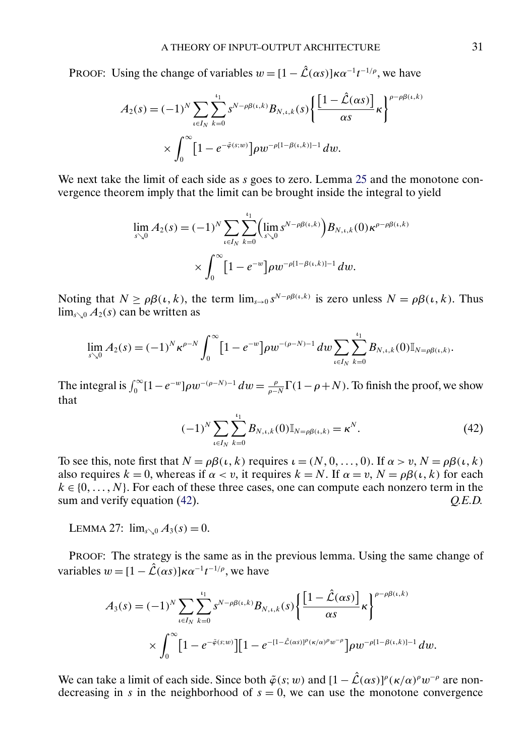PROOF: Using the change of variables  $w = [1 - \hat{\mathcal{L}}(\alpha s)]\kappa \alpha^{-1} t^{-1/\rho}$ , we have

$$
A_2(s) = (-1)^N \sum_{\iota \in I_N} \sum_{k=0}^{\iota_1} s^{N-\rho\beta(\iota,k)} B_{N,\iota,k}(s) \left\{ \frac{\left[1-\hat{\mathcal{L}}(\alpha s)\right]}{\alpha s} \kappa \right\}^{\rho-\rho\beta(\iota,k)}
$$

$$
\times \int_0^\infty \left[1 - e^{-\tilde{\varphi}(s;w)}\right] \rho w^{-\rho[1-\beta(\iota,k)]-1} dw.
$$

We next take the limit of each side as s goes to zero. Lemma [25](#page-29-0) and the monotone convergence theorem imply that the limit can be brought inside the integral to yield

$$
\lim_{s \searrow 0} A_2(s) = (-1)^N \sum_{\iota \in I_N} \sum_{k=0}^{i_1} \Biggl( \lim_{s \searrow 0} s^{N - \rho \beta(\iota, k)} \Biggr) B_{N, \iota, k}(0) \kappa^{\rho - \rho \beta(\iota, k)}
$$

$$
\times \int_0^\infty \Biggl[ 1 - e^{-w} \Biggr] \rho w^{-\rho [1 - \beta(\iota, k)] - 1} \, dw.
$$

Noting that  $N \ge \rho \beta(\iota, k)$ , the term  $\lim_{s \to 0} s^{N-\rho \beta(\iota, k)}$  is zero unless  $N = \rho \beta(\iota, k)$ . Thus  $\lim_{s\to 0} A_2(s)$  can be written as

$$
\lim_{s\searrow 0} A_2(s) = (-1)^N \kappa^{\rho-N} \int_0^\infty \left[1 - e^{-w}\right] \rho w^{-(\rho-N)-1} dw \sum_{\iota \in I_N} \sum_{k=0}^{\iota_1} B_{N,\iota,k}(0) \mathbb{I}_{N=\rho\beta(\iota,k)}.
$$

The integral is  $\int_0^\infty [1 - e^{-w}] \rho w^{-(\rho - N)-1} dw = \frac{\rho}{\rho - N} \Gamma(1 - \rho + N)$ . To finish the proof, we show that

$$
(-1)^{N} \sum_{\iota \in I_{N}} \sum_{k=0}^{\iota_{1}} B_{N,\iota,k}(0) \mathbb{I}_{N=\rho\beta(\iota,k)} = \kappa^{N}.
$$
 (42)

To see this, note first that  $N = \rho \beta(\iota, k)$  requires  $\iota = (N, 0, \dots, 0)$ . If  $\alpha > \nu, N = \rho \beta(\iota, k)$ also requires  $k = 0$ , whereas if  $\alpha < v$ , it requires  $k = N$ . If  $\alpha = v$ ,  $N = \rho \beta(\iota, k)$  for each  $k \in \{0, \ldots, N\}$ . For each of these three cases, one can compute each nonzero term in the sum and verify equation (42).  $Q.E.D.$ 

LEMMA 27:  $\lim_{s \to 0} A_3(s) = 0$ .

PROOF: The strategy is the same as in the previous lemma. Using the same change of variables  $w = [1 - \hat{\mathcal{L}}(\alpha s)] \kappa \alpha^{-1} t^{-1/\rho}$ , we have

$$
A_3(s) = (-1)^N \sum_{\iota \in I_N} \sum_{k=0}^{\iota_1} s^{N-\rho \beta(\iota,k)} B_{N,\iota,k}(s) \left\{ \frac{\left[1-\hat{\mathcal{L}}(\alpha s)\right]}{\alpha s} \kappa \right\}^{\rho-\rho \beta(\iota,k)}
$$

$$
\times \int_0^\infty \left[1 - e^{-\tilde{\varphi}(s;w)}\right] \left[1 - e^{-\left[1-\hat{\mathcal{L}}(\alpha s)\right]^\rho (\kappa/\alpha)^\rho w^{-\rho}}\right] \rho w^{-\rho[1-\beta(\iota,k)]-1} dw.
$$

We can take a limit of each side. Since both  $\tilde{\varphi}(s; w)$  and  $[1 - \hat{\mathcal{L}}(\alpha s)]^{\rho} (\kappa/\alpha)^{\rho} w^{-\rho}$  are nondecreasing in s in the neighborhood of  $s = 0$ , we can use the monotone convergence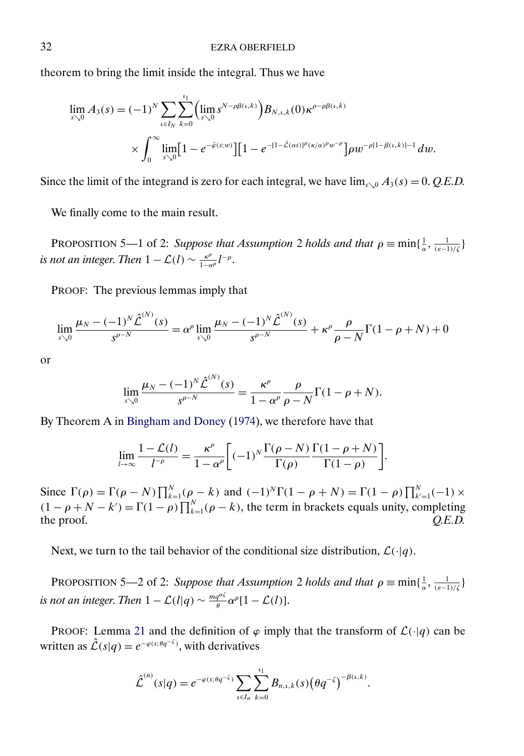<span id="page-31-0"></span>theorem to bring the limit inside the integral. Thus we have

$$
\lim_{s \searrow 0} A_3(s) = (-1)^N \sum_{\iota \in I_N} \sum_{k=0}^{t_1} \Big( \lim_{s \searrow 0} s^{N-\rho \beta(\iota,k)} \Big) B_{N,\iota,k}(0) \kappa^{\rho-\rho \beta(\iota,k)} \times \int_0^\infty \lim_{s \searrow 0} \Big[ 1 - e^{-\tilde{\varphi}(s;w)} \Big] \Big[ 1 - e^{-[1-\hat{\mathcal{L}}(\alpha s)]^\rho (\kappa/\alpha)^\rho w^{-\rho}} \Big] \rho w^{-\rho[1-\beta(\iota,k)]-1} \, dw.
$$

Since the limit of the integrand is zero for each integral, we have  $\lim_{s\to 0} A_3(s) = 0$ . *Q.E.D.* 

We finally come to the main result.

PROPOSITION 5—1 of 2: Suppose that Assumption 2 holds and that  $\rho \equiv \min\{\frac{1}{\alpha}, \frac{1}{(\varepsilon-1)/\zeta}\}$ *is not an integer. Then*  $1 - \mathcal{L}(l) \sim \frac{\kappa^{\rho}}{1 - \alpha^{\rho}} l^{-\rho}$ .

PROOF: The previous lemmas imply that

$$
\lim_{s\searrow 0} \frac{\mu_N - (-1)^N \hat{\mathcal{L}}^{(N)}(s)}{s^{\rho-N}} = \alpha^{\rho} \lim_{s\searrow 0} \frac{\mu_N - (-1)^N \hat{\mathcal{L}}^{(N)}(s)}{s^{\rho-N}} + \kappa^{\rho} \frac{\rho}{\rho-N} \Gamma(1-\rho+N) + 0
$$

or

$$
\lim_{s\searrow 0} \frac{\mu_N - (-1)^N \hat{\mathcal{L}}^{(N)}(s)}{s^{\rho-N}} = \frac{\kappa^{\rho}}{1 - \alpha^{\rho}} \frac{\rho}{\rho - N} \Gamma(1 - \rho + N).
$$

By Theorem A in [Bingham and Doney](#page-37-0) [\(1974\)](#page-37-0), we therefore have that

$$
\lim_{l \to \infty} \frac{1 - \mathcal{L}(l)}{l^{-\rho}} = \frac{\kappa^{\rho}}{1 - \alpha^{\rho}} \bigg[ (-1)^N \frac{\Gamma(\rho - N)}{\Gamma(\rho)} \frac{\Gamma(1 - \rho + N)}{\Gamma(1 - \rho)} \bigg].
$$

Since  $\Gamma(\rho) = \Gamma(\rho - N) \prod_{k=1}^{N} (\rho - k)$  and  $(-1)^N \Gamma(1 - \rho + N) = \Gamma(1 - \rho) \prod_{k'=1}^{N} (-1) \times$  $(1 - \rho + N - k') = \Gamma(1 - \rho) \prod_{k=1}^{N} (\rho - k)$ , the term in brackets equals unity, completing the proof.  $Q.E.D.$ 

Next, we turn to the tail behavior of the conditional size distribution,  $\mathcal{L}(\cdot|q)$ .

PROPOSITION 5—2 of 2: Suppose that Assumption 2 holds and that  $\rho \equiv \min\{\frac{1}{\alpha}, \frac{1}{(\varepsilon-1)/\zeta}\}$ *is not an integer. Then*  $1 - \mathcal{L}(l|q) \sim \frac{mq^{\alpha \zeta}}{\theta} \alpha^{\rho} [1 - \mathcal{L}(l)].$ 

PROOF: Lemma [21](#page-25-0) and the definition of  $\varphi$  imply that the transform of  $\mathcal{L}(\cdot|q)$  can be written as  $\hat{\mathcal{L}}(s|q) = e^{-\varphi(s;\theta q^{-\zeta})}$ , with derivatives

$$
\hat{\mathcal{L}}^{(n)}(s|q) = e^{-\varphi(s;\theta q^{-\zeta})} \sum_{\iota \in I_n} \sum_{k=0}^{\iota_1} B_{n,\iota,k}(s) (\theta q^{-\zeta})^{-\beta(\iota,k)}.
$$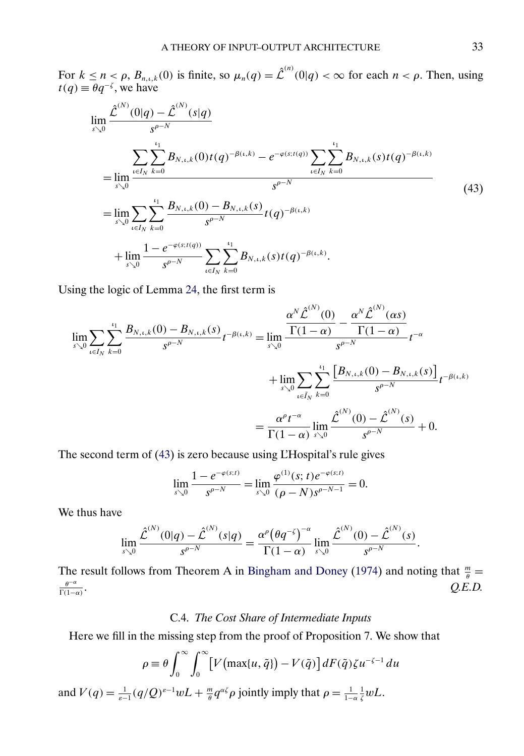<span id="page-32-0"></span>For  $k \le n \le \rho$ ,  $B_{n,\iota,k}(0)$  is finite, so  $\mu_n(q) = \hat{\mathcal{L}}^{(n)}(0|q) < \infty$  for each  $n < \rho$ . Then, using  $t(q) \equiv \theta q^{-\zeta}$ , we have

$$
\lim_{s\searrow 0} \frac{\hat{\mathcal{L}}^{(N)}(0|q) - \hat{\mathcal{L}}^{(N)}(s|q)}{s^{\rho-N}}\n= \lim_{s\searrow 0} \frac{\sum_{\iota \in I_N} \sum_{k=0}^{t_1} B_{N,\iota,k}(0) t(q)^{-\beta(\iota,k)} - e^{-\varphi(s;t(q))} \sum_{\iota \in I_N} \sum_{k=0}^{t_1} B_{N,\iota,k}(s) t(q)^{-\beta(\iota,k)}}{s^{\rho-N}}\n= \lim_{s\searrow 0} \sum_{\iota \in I_N} \sum_{k=0}^{t_1} \frac{B_{N,\iota,k}(0) - B_{N,\iota,k}(s)}{s^{\rho-N}} t(q)^{-\beta(\iota,k)}\n+ \lim_{s\searrow 0} \frac{1 - e^{-\varphi(s;t(q))}}{s^{\rho-N}} \sum_{\iota \in I_N} \sum_{k=0}^{t_1} B_{N,\iota,k}(s) t(q)^{-\beta(\iota,k)}.
$$
\n(43)

Using the logic of Lemma [24,](#page-28-0) the first term is

$$
\lim_{s \searrow 0} \sum_{\iota \in I_N} \sum_{k=0}^{i_1} \frac{B_{N,\iota,k}(0) - B_{N,\iota,k}(s)}{s^{\rho-N}} t^{-\beta(\iota,k)} = \lim_{s \searrow 0} \frac{\frac{\alpha^N \hat{\mathcal{L}}^{(N)}(0)}{\Gamma(1-\alpha)} - \frac{\alpha^N \hat{\mathcal{L}}^{(N)}(\alpha s)}{\Gamma(1-\alpha)}}{s^{\rho-N}} t^{-\alpha}}{s^{\rho-N}} + \lim_{s \searrow 0} \sum_{\iota \in \tilde{I}_N} \sum_{k=0}^{i_1} \frac{[B_{N,\iota,k}(0) - B_{N,\iota,k}(s)]}{s^{\rho-N}} t^{-\beta(\iota,k)}
$$
\n
$$
= \frac{\alpha^{\rho} t^{-\alpha}}{\Gamma(1-\alpha)} \lim_{s \searrow 0} \frac{\hat{\mathcal{L}}^{(N)}(0) - \hat{\mathcal{L}}^{(N)}(s)}{s^{\rho-N}} + 0.
$$

The second term of (43) is zero because using L'Hospital's rule gives

$$
\lim_{s\searrow 0}\frac{1-e^{-\varphi(s;t)}}{s^{\rho-N}}=\lim_{s\searrow 0}\frac{\varphi^{(1)}(s;t)e^{-\varphi(s;t)}}{(\rho-N)s^{\rho-N-1}}=0.
$$

We thus have

$$
\lim_{s\searrow 0}\frac{\hat{\mathcal{L}}^{(N)}(0|q)-\hat{\mathcal{L}}^{(N)}(s|q)}{s^{\rho-N}}=\frac{\alpha^{\rho}\big(\theta q^{-\zeta}\big)^{-\alpha}}{\Gamma(1-\alpha)}\lim_{s\searrow 0}\frac{\hat{\mathcal{L}}^{(N)}(0)-\hat{\mathcal{L}}^{(N)}(s)}{s^{\rho-N}}.
$$

The result follows from Theorem A in [Bingham and Doney](#page-37-0) [\(1974\)](#page-37-0) and noting that  $\frac{m}{\theta} =$  $\frac{\theta^{-\alpha}}{\Gamma(1-\alpha)}$ .  $\frac{\theta^{-\alpha}}{\Gamma(1-\alpha)}$ .  $Q.E.D.$ 

## C.4. *The Cost Share of Intermediate Inputs*

Here we fill in the missing step from the proof of Proposition 7. We show that

$$
\rho \equiv \theta \int_0^\infty \int_0^\infty \left[ V\left(\max\{u, \tilde{q}\}\right) - V(\tilde{q}) \right] dF(\tilde{q}) \zeta u^{-\zeta - 1} du
$$

and  $V(q) = \frac{1}{\varepsilon - 1} (q/Q)^{\varepsilon - 1} wL + \frac{m}{\theta} q^{\alpha \zeta} \rho$  jointly imply that  $\rho = \frac{1}{1 - \alpha} \frac{1}{\zeta} wL$ .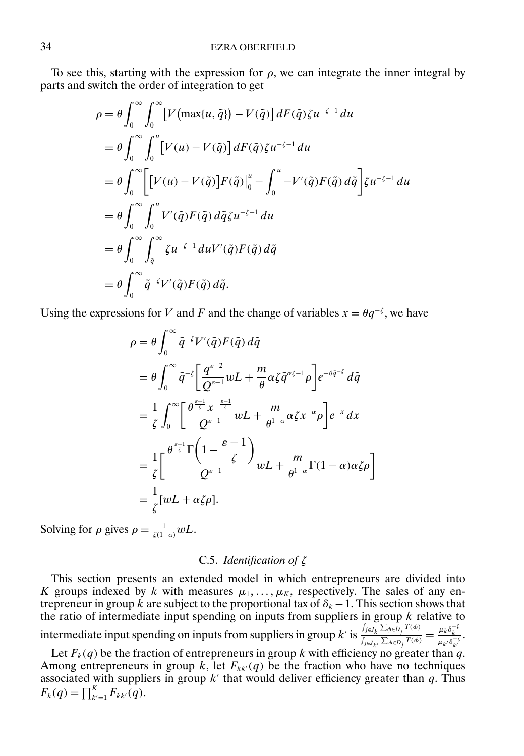To see this, starting with the expression for  $\rho$ , we can integrate the inner integral by parts and switch the order of integration to get

$$
\rho = \theta \int_0^\infty \int_0^\infty \left[ V\left(\max\{u, \tilde{q}\}\right) - V(\tilde{q}) \right] dF(\tilde{q}) \zeta u^{-\zeta - 1} du
$$
  
\n
$$
= \theta \int_0^\infty \int_0^u \left[ V(u) - V(\tilde{q}) \right] dF(\tilde{q}) \zeta u^{-\zeta - 1} du
$$
  
\n
$$
= \theta \int_0^\infty \left[ \left[ V(u) - V(\tilde{q}) \right] F(\tilde{q}) \Big|_0^u - \int_0^u - V'(\tilde{q}) F(\tilde{q}) d\tilde{q} \right] \zeta u^{-\zeta - 1} du
$$
  
\n
$$
= \theta \int_0^\infty \int_0^u V'(\tilde{q}) F(\tilde{q}) d\tilde{q} \zeta u^{-\zeta - 1} du
$$
  
\n
$$
= \theta \int_0^\infty \int_{\tilde{q}}^\infty \zeta u^{-\zeta - 1} du V'(\tilde{q}) F(\tilde{q}) d\tilde{q}
$$
  
\n
$$
= \theta \int_0^\infty \tilde{q}^{-\zeta} V'(\tilde{q}) F(\tilde{q}) d\tilde{q}.
$$

Using the expressions for V and F and the change of variables  $x = \theta q^{-\zeta}$ , we have

$$
\rho = \theta \int_0^{\infty} \tilde{q}^{-\zeta} V'(\tilde{q}) F(\tilde{q}) d\tilde{q}
$$
  
\n
$$
= \theta \int_0^{\infty} \tilde{q}^{-\zeta} \left[ \frac{q^{s-2}}{Q^{s-1}} wL + \frac{m}{\theta} \alpha \zeta \tilde{q}^{\alpha \zeta - 1} \rho \right] e^{-\theta \tilde{q}^{-\zeta}} d\tilde{q}
$$
  
\n
$$
= \frac{1}{\zeta} \int_0^{\infty} \left[ \frac{\theta^{\frac{s-1}{\zeta}} x^{-\frac{s-1}{\zeta}}}{Q^{s-1}} wL + \frac{m}{\theta^{1-\alpha}} \alpha \zeta x^{-\alpha} \rho \right] e^{-x} dx
$$
  
\n
$$
= \frac{1}{\zeta} \left[ \frac{\theta^{\frac{s-1}{\zeta}} \Gamma\left(1 - \frac{s-1}{\zeta}\right)}{Q^{s-1}} wL + \frac{m}{\theta^{1-\alpha}} \Gamma(1 - \alpha) \alpha \zeta \rho \right]
$$
  
\n
$$
= \frac{1}{\zeta} [wL + \alpha \zeta \rho].
$$

Solving for  $\rho$  gives  $\rho = \frac{1}{\zeta(1-\alpha)}wL$ .

## C.5. *Identification of* ζ

This section presents an extended model in which entrepreneurs are divided into K groups indexed by k with measures  $\mu_1, \ldots, \mu_K$ , respectively. The sales of any entrepreneur in group k are subject to the proportional tax of  $\delta_k - 1$ . This section shows that the ratio of intermediate input spending on inputs from suppliers in group  $k$  relative to intermediate input spending on inputs from suppliers in group k' is  $\frac{\int_{j\in J_k}\sum_{\phi\in D_j}T(\phi)}{\int_{j\in J_k}\sum_{\phi\in D_j}T(\phi)}$  $\frac{\int_{j\in J_k}\sum_{\phi\in D_j}T(\phi)}{\int_{j\in J_{k'}}\sum_{\phi\in D_j}T(\phi)}=\frac{\mu_k\delta_k^{-\zeta}}{\mu_{k'}\delta_{k'}^{-\zeta}}.$ 

Let  $F_k(q)$  be the fraction of entrepreneurs in group k with efficiency no greater than q. Among entrepreneurs in group k, let  $F_{kk'}(q)$  be the fraction who have no techniques associated with suppliers in group  $k'$  that would deliver efficiency greater than  $q$ . Thus  $F_k(q) = \prod_{k'=1}^K F_{kk'}(q).$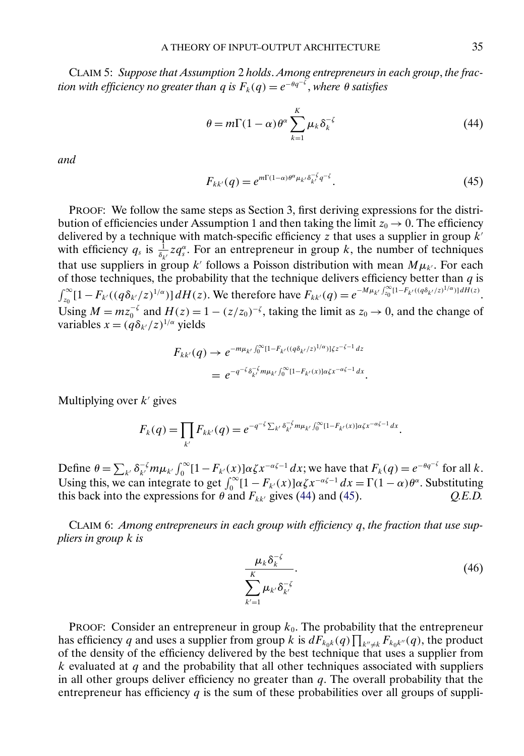<span id="page-34-0"></span>CLAIM 5: *Suppose that Assumption* 2 *holds*. *Among entrepreneurs in each group*, *the fraction with efficiency no greater than q is*  $F_k(q) = e^{-\theta q^{-\zeta}}$ , *where*  $\theta$  *satisfies* 

$$
\theta = m\Gamma(1-\alpha)\theta^{\alpha} \sum_{k=1}^{K} \mu_k \delta_k^{-\zeta}
$$
\n(44)

*and*

$$
F_{kk'}(q) = e^{m\Gamma(1-\alpha)\theta^{\alpha}\mu_{k'}\delta_{k'}^{-\zeta}q^{-\zeta}}.
$$
\n(45)

PROOF: We follow the same steps as Section 3, first deriving expressions for the distribution of efficiencies under Assumption 1 and then taking the limit  $z_0 \rightarrow 0$ . The efficiency delivered by a technique with match-specific efficiency z that uses a supplier in group k' with efficiency  $q_s$  is  $\frac{1}{\delta_{k'}} z q_s^{\alpha}$ . For an entrepreneur in group k, the number of techniques that use suppliers in group k' follows a Poisson distribution with mean  $M\mu_{k'}$ . For each of those techniques, the probability that the technique delivers efficiency better than  $q$  is  $\int_{z_0}^{\infty} [1 - F_{k'}((q\delta_{k'}/z)^{1/\alpha})] dH(z)$ . We therefore have  $F_{kk'}(q) = e^{-M\mu_{k'}} \int_{z_0}^{\infty} [1 - F_{k'}((q\delta_{k'}/z)^{1/\alpha})] dH(z)$ . Using  $M = mz_0^{-\zeta}$  and  $H(z) = 1 - (z/z_0)^{-\zeta}$ , taking the limit as  $z_0 \to 0$ , and the change of variables  $x = (q \delta_{k'}/z)^{1/\alpha}$  yields

$$
F_{kk'}(q) \to e^{-m\mu_{k'} \int_0^\infty [1 - F_{k'}((q\delta_{k'}/z)^{1/\alpha})] \zeta z^{-\zeta - 1} dz}
$$
  
= 
$$
e^{-q^{-\zeta} \delta_{k'}^{-\zeta} m\mu_{k'} \int_0^\infty [1 - F_{k'}(x)] \alpha \zeta x^{-\alpha \zeta - 1} dx}.
$$

Multiplying over  $k'$  gives

$$
F_k(q) = \prod_{k'} F_{kk'}(q) = e^{-q^{-\zeta} \sum_{k'} \delta_{k'}^{-\zeta} m \mu_{k'} \int_0^{\infty} [1 - F_{k'}(x)] \alpha \zeta x^{-\alpha \zeta - 1} dx}.
$$

Define  $\theta = \sum_{k'} \delta_{k'}^{-\zeta} m \mu_{k'} \int_0^\infty [1 - F_{k'}(x)] \alpha \zeta x^{-\alpha \zeta - 1} dx$ ; we have that  $F_k(q) = e^{-\theta q^{-\zeta}}$  for all k. Using this, we can integrate to get  $\int_0^\infty [1 - F_{k'}(x)] \alpha \zeta x^{-\alpha \zeta - 1} dx = \Gamma(1 - \alpha) \theta^{\alpha}$ . Substituting this back into the expressions for  $\theta$  and  $F_{kk'}$  gives (44) and (45).  $Q.E.D.$ 

CLAIM 6: *Among entrepreneurs in each group with efficiency* q, *the fraction that use suppliers in group* k *is*

$$
\frac{\mu_k \delta_k^{-\zeta}}{\sum_{k'=1}^K \mu_{k'} \delta_{k'}^{-\zeta}}.
$$
\n(46)

**PROOF:** Consider an entrepreneur in group  $k_0$ . The probability that the entrepreneur has efficiency  $q$  and uses a supplier from group  $k$  is  $dF_{k_0k}(q) \prod_{k''\neq k} F_{k_0k''}(q)$ , the product of the density of the efficiency delivered by the best technique that uses a supplier from  $k$  evaluated at  $q$  and the probability that all other techniques associated with suppliers in all other groups deliver efficiency no greater than  $q$ . The overall probability that the entrepreneur has efficiency  $q$  is the sum of these probabilities over all groups of suppli-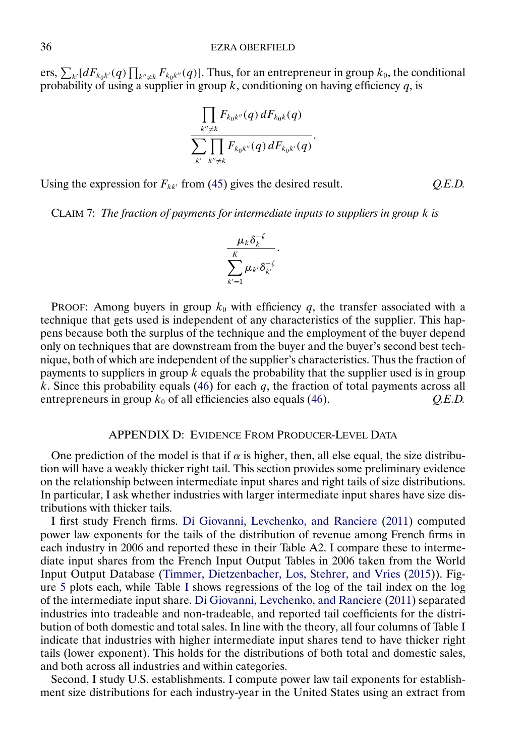<span id="page-35-0"></span>ers,  $\sum_{k'} [dF_{k_0k'}(q) \prod_{k'' \neq k} F_{k_0k''}(q)]$ . Thus, for an entrepreneur in group  $k_0$ , the conditional probability of using a supplier in group k, conditioning on having efficiency q, is

$$
\frac{\prod\limits_{k''\neq k}F_{k_0k''}(q)\,dF_{k_0k}(q)}{\sum\limits_{k'}\prod\limits_{k''\neq k}F_{k_0k''}(q)\,dF_{k_0k'}(q)}.
$$

Using the expression for  $F_{kk'}$  from [\(45\)](#page-34-0) gives the desired result.  $Q.E.D.$ 

CLAIM 7: *The fraction of payments for intermediate inputs to suppliers in group* k *is*

$$
\frac{\mu_k \delta_k^{-\zeta}}{\sum_{k'=1}^K \mu_{k'} \delta_{k'}^{-\zeta}}.
$$

PROOF: Among buyers in group  $k_0$  with efficiency q, the transfer associated with a technique that gets used is independent of any characteristics of the supplier. This happens because both the surplus of the technique and the employment of the buyer depend only on techniques that are downstream from the buyer and the buyer's second best technique, both of which are independent of the supplier's characteristics. Thus the fraction of payments to suppliers in group  $k$  equals the probability that the supplier used is in group k. Since this probability equals [\(46\)](#page-34-0) for each  $q$ , the fraction of total payments across all entrepreneurs in group  $k_0$  of all efficiencies also equals [\(46\)](#page-34-0).  $Q.E.D.$ 

## APPENDIX D: EVIDENCE FROM PRODUCER-LEVEL DATA

One prediction of the model is that if  $\alpha$  is higher, then, all else equal, the size distribution will have a weakly thicker right tail. This section provides some preliminary evidence on the relationship between intermediate input shares and right tails of size distributions. In particular, I ask whether industries with larger intermediate input shares have size distributions with thicker tails.

I first study French firms. [Di Giovanni, Levchenko, and Ranciere](#page-37-0) [\(2011\)](#page-37-0) computed power law exponents for the tails of the distribution of revenue among French firms in each industry in 2006 and reported these in their Table A2. I compare these to intermediate input shares from the French Input Output Tables in 2006 taken from the World Input Output Database [\(Timmer, Dietzenbacher, Los, Stehrer, and Vries](#page-37-0) [\(2015\)](#page-37-0)). Figure [5](#page-36-0) plots each, while Table [I](#page-36-0) shows regressions of the log of the tail index on the log of the intermediate input share. [Di Giovanni, Levchenko, and Ranciere](#page-37-0) [\(2011\)](#page-37-0) separated industries into tradeable and non-tradeable, and reported tail coefficients for the distribution of both domestic and total sales. In line with the theory, all four columns of Table [I](#page-36-0) indicate that industries with higher intermediate input shares tend to have thicker right tails (lower exponent). This holds for the distributions of both total and domestic sales, and both across all industries and within categories.

Second, I study U.S. establishments. I compute power law tail exponents for establishment size distributions for each industry-year in the United States using an extract from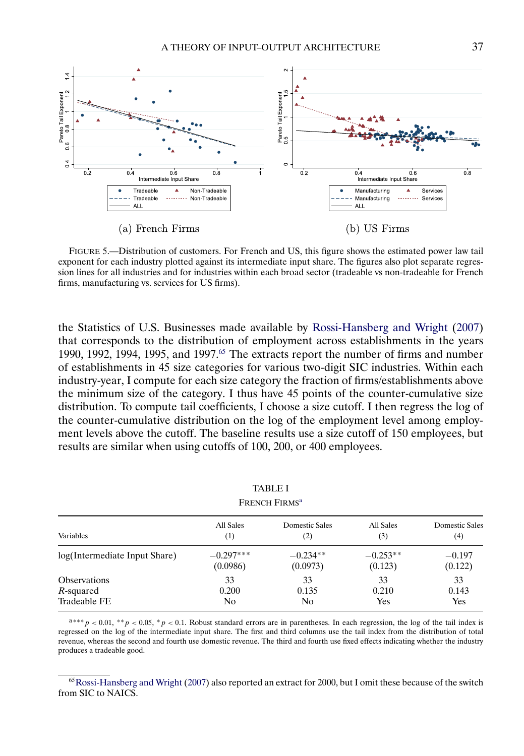<span id="page-36-0"></span>

FIGURE 5.—Distribution of customers. For French and US, this figure shows the estimated power law tail exponent for each industry plotted against its intermediate input share. The figures also plot separate regression lines for all industries and for industries within each broad sector (tradeable vs non-tradeable for French firms, manufacturing vs. services for US firms).

the Statistics of U.S. Businesses made available by [Rossi-Hansberg and Wright](#page-37-0) [\(2007\)](#page-37-0) that corresponds to the distribution of employment across establishments in the years 1990, 1992, 1994, 1995, and 1997.<sup>65</sup> The extracts report the number of firms and number of establishments in 45 size categories for various two-digit SIC industries. Within each industry-year, I compute for each size category the fraction of firms/establishments above the minimum size of the category. I thus have 45 points of the counter-cumulative size distribution. To compute tail coefficients, I choose a size cutoff. I then regress the log of the counter-cumulative distribution on the log of the employment level among employment levels above the cutoff. The baseline results use a size cutoff of 150 employees, but results are similar when using cutoffs of 100, 200, or 400 employees.

## TABLE I FRENCH FIRMS<sup>a</sup>

| Variables                     | All Sales   | Domestic Sales | All Sales  | Domestic Sales |
|-------------------------------|-------------|----------------|------------|----------------|
|                               | (1)         | (2)            | (3)        | $^{(4)}$       |
| log(Intermediate Input Share) | $-0.297***$ | $-0.234**$     | $-0.253**$ | $-0.197$       |
|                               | (0.0986)    | (0.0973)       | (0.123)    | (0.122)        |
| <b>Observations</b>           | 33          | 33             | 33         | 33             |
| R-squared                     | 0.200       | 0.135          | 0.210      | 0.143          |
| Tradeable FE                  | No          | No             | Yes        | Yes            |

 $a***p < 0.01$ ,  $**p < 0.05$ ,  $:p < 0.1$ . Robust standard errors are in parentheses. In each regression, the log of the tail index is regressed on the log of the intermediate input share. The first and third columns use the tail index from the distribution of total revenue, whereas the second and fourth use domestic revenue. The third and fourth use fixed effects indicating whether the industry produces a tradeable good.

<sup>&</sup>lt;sup>65</sup>Rossi-Hansberg and Wright [\(2007\)](#page-37-0) also reported an extract for 2000, but I omit these because of the switch from SIC to NAICS.